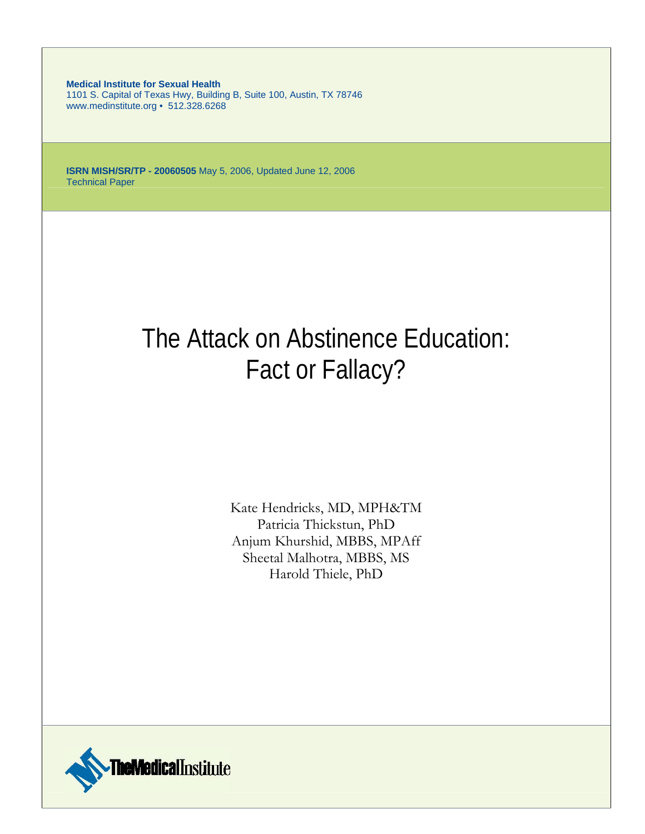**Medical Institute for Sexual Health** 1101 S. Capital of Texas Hwy, Building B, Suite 100, Austin, TX 78746 www.medinstitute.org • 512.328.6268

**ISRN MISH/SR/TP - 20060505** May 5, 2006, Updated June 12, 2006 Technical Paper

# The Attack on Abstinence Education: Fact or Fallacy?

Kate Hendricks, MD, MPH&TM Patricia Thickstun, PhD Anjum Khurshid, MBBS, MPAff Sheetal Malhotra, MBBS, MS Harold Thiele, PhD

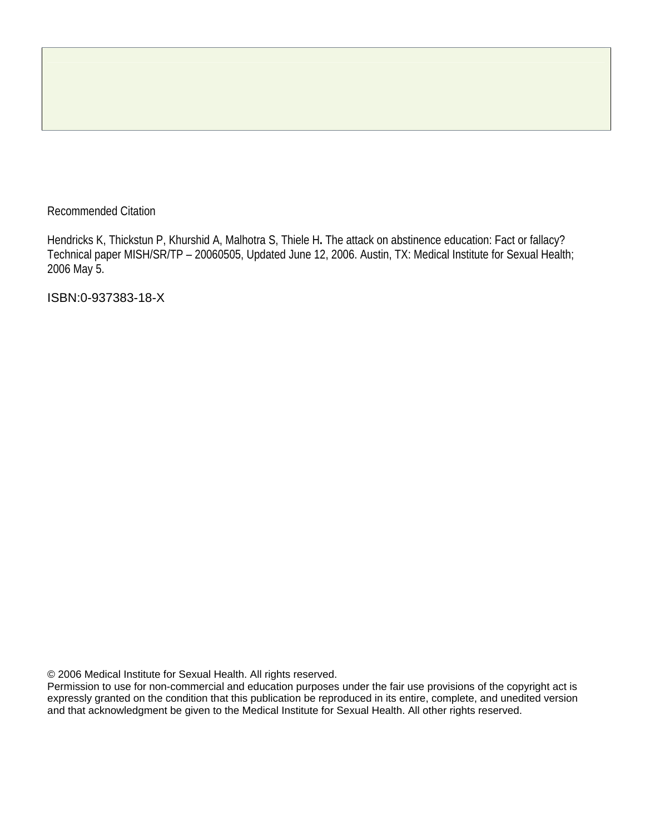# Recommended Citation

Hendricks K, Thickstun P, Khurshid A, Malhotra S, Thiele H**.** The attack on abstinence education: Fact or fallacy? Technical paper MISH/SR/TP – 20060505, Updated June 12, 2006. Austin, TX: Medical Institute for Sexual Health; 2006 May 5.

ISBN:0-937383-18-X

© 2006 Medical Institute for Sexual Health. All rights reserved.

Permission to use for non-commercial and education purposes under the fair use provisions of the copyright act is expressly granted on the condition that this publication be reproduced in its entire, complete, and unedited version and that acknowledgment be given to the Medical Institute for Sexual Health. All other rights reserved.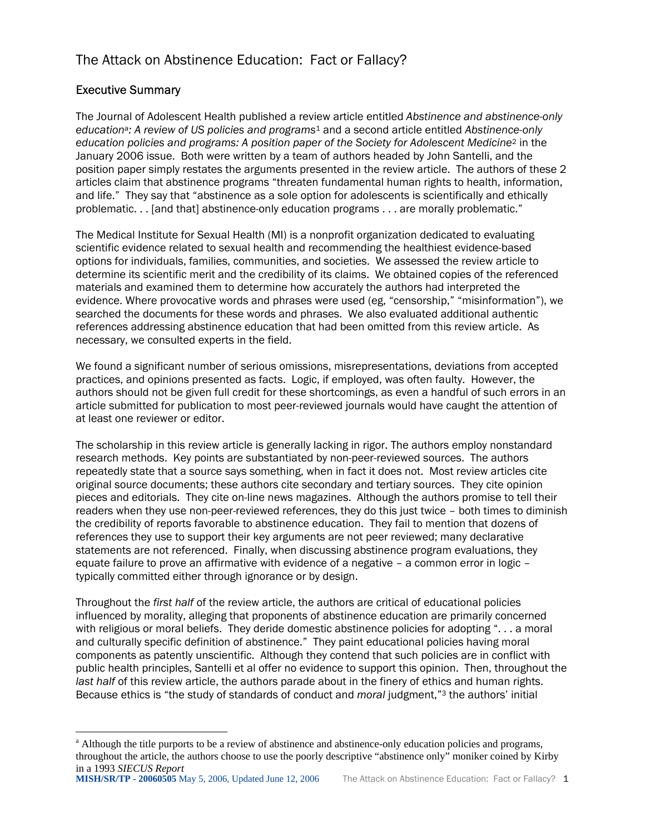# The Attack on Abstinence Education: Fact or Fallacy?

# Executive Summary

 $\overline{a}$ 

The Journal of Adolescent Health published a review article entitled *Abstinence and abstinence-only education[a:](#page-2-0) A review of US policies and programs*[1](#page-23-0) and a second article entitled *Abstinence-only education policies and programs: A position paper of the Society for Adolescent Medicine*[2](#page-23-1) in the January 2006 issue. Both were written by a team of authors headed by John Santelli, and the position paper simply restates the arguments presented in the review article. The authors of these 2 articles claim that abstinence programs "threaten fundamental human rights to health, information, and life." They say that "abstinence as a sole option for adolescents is scientifically and ethically problematic. . . [and that] abstinence-only education programs . . . are morally problematic."

The Medical Institute for Sexual Health (MI) is a nonprofit organization dedicated to evaluating scientific evidence related to sexual health and recommending the healthiest evidence-based options for individuals, families, communities, and societies. We assessed the review article to determine its scientific merit and the credibility of its claims. We obtained copies of the referenced materials and examined them to determine how accurately the authors had interpreted the evidence. Where provocative words and phrases were used (eg, "censorship," "misinformation"), we searched the documents for these words and phrases. We also evaluated additional authentic references addressing abstinence education that had been omitted from this review article. As necessary, we consulted experts in the field.

We found a significant number of serious omissions, misrepresentations, deviations from accepted practices, and opinions presented as facts. Logic, if employed, was often faulty. However, the authors should not be given full credit for these shortcomings, as even a handful of such errors in an article submitted for publication to most peer-reviewed journals would have caught the attention of at least one reviewer or editor.

The scholarship in this review article is generally lacking in rigor. The authors employ nonstandard research methods. Key points are substantiated by non-peer-reviewed sources. The authors repeatedly state that a source says something, when in fact it does not. Most review articles cite original source documents; these authors cite secondary and tertiary sources. They cite opinion pieces and editorials. They cite on-line news magazines. Although the authors promise to tell their readers when they use non-peer-reviewed references, they do this just twice – both times to diminish the credibility of reports favorable to abstinence education. They fail to mention that dozens of references they use to support their key arguments are not peer reviewed; many declarative statements are not referenced. Finally, when discussing abstinence program evaluations, they equate failure to prove an affirmative with evidence of a negative – a common error in logic – typically committed either through ignorance or by design.

Throughout the *first half* of the review article, the authors are critical of educational policies influenced by morality, alleging that proponents of abstinence education are primarily concerned with religious or moral beliefs. They deride domestic abstinence policies for adopting ". . . a moral and culturally specific definition of abstinence." They paint educational policies having moral components as patently unscientific. Although they contend that such policies are in conflict with public health principles, Santelli et al offer no evidence to support this opinion. Then, throughout the *last half* of this review article, the authors parade about in the finery of ethics and human rights. Because ethics is "the study of standards of conduct and *moral* judgment,"[3](#page-23-2) the authors' initial

<span id="page-2-0"></span><sup>&</sup>lt;sup>a</sup> Although the title purports to be a review of abstinence and abstinence-only education policies and programs, throughout the article, the authors choose to use the poorly descriptive "abstinence only" moniker coined by Kirby in a 1993 *SIECUS Report*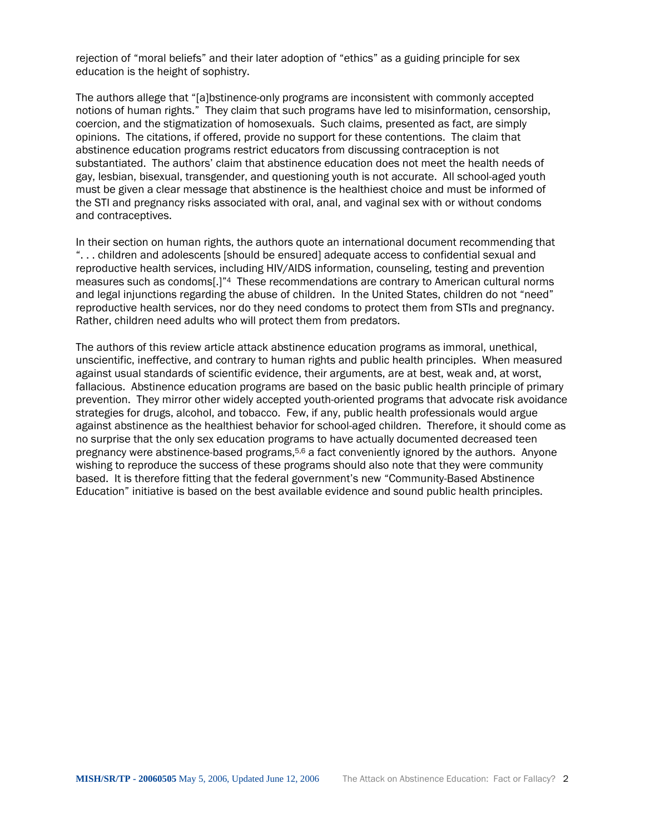rejection of "moral beliefs" and their later adoption of "ethics" as a guiding principle for sex education is the height of sophistry.

The authors allege that "[a]bstinence-only programs are inconsistent with commonly accepted notions of human rights." They claim that such programs have led to misinformation, censorship, coercion, and the stigmatization of homosexuals. Such claims, presented as fact, are simply opinions. The citations, if offered, provide no support for these contentions. The claim that abstinence education programs restrict educators from discussing contraception is not substantiated. The authors' claim that abstinence education does not meet the health needs of gay, lesbian, bisexual, transgender, and questioning youth is not accurate. All school-aged youth must be given a clear message that abstinence is the healthiest choice and must be informed of the STI and pregnancy risks associated with oral, anal, and vaginal sex with or without condoms and contraceptives.

In their section on human rights, the authors quote an international document recommending that ". . . children and adolescents [should be ensured] adequate access to confidential sexual and reproductive health services, including HIV/AIDS information, counseling, testing and prevention measures such as condoms[.]["4](#page-23-3) These recommendations are contrary to American cultural norms and legal injunctions regarding the abuse of children. In the United States, children do not "need" reproductive health services, nor do they need condoms to protect them from STIs and pregnancy. Rather, children need adults who will protect them from predators.

The authors of this review article attack abstinence education programs as immoral, unethical, unscientific, ineffective, and contrary to human rights and public health principles. When measured against usual standards of scientific evidence, their arguments, are at best, weak and, at worst, fallacious. Abstinence education programs are based on the basic public health principle of primary prevention. They mirror other widely accepted youth-oriented programs that advocate risk avoidance strategies for drugs, alcohol, and tobacco. Few, if any, public health professionals would argue against abstinence as the healthiest behavior for school-aged children. Therefore, it should come as no surprise that the only sex education programs to have actually documented decreased teen pregnancy were abstinence-based programs,<sup>5,6</sup> a fact conveniently ignored by the authors. Anyone wishing to reproduce the success of these programs should also note that they were community based. It is therefore fitting that the federal government's new "Community-Based Abstinence Education" initiative is based on the best available evidence and sound public health principles.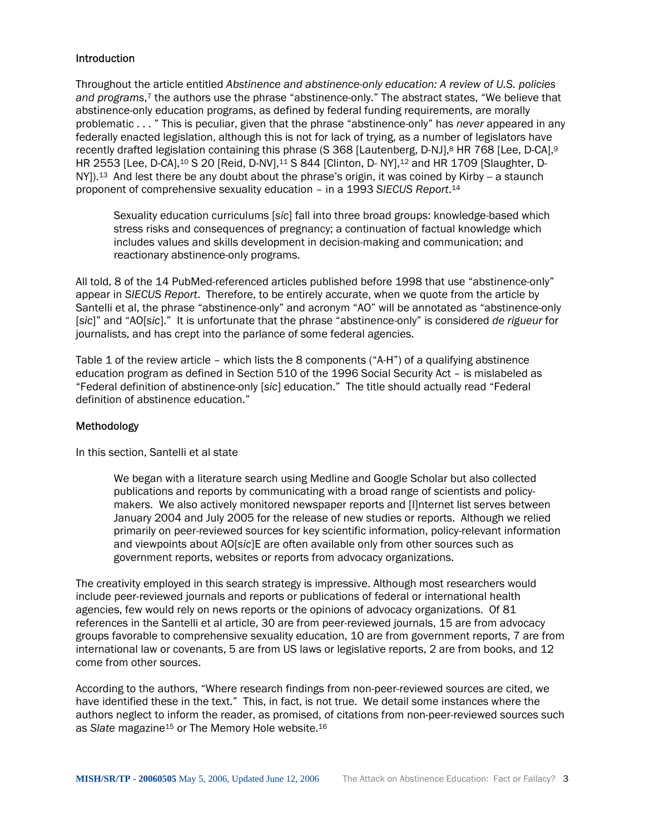#### **Introduction**

Throughout the article entitled *Abstinence and abstinence-only education: A review of U.S. policies and programs*,[7](#page-23-6) the authors use the phrase "abstinence-only." The abstract states, "We believe that abstinence-only education programs, as defined by federal funding requirements, are morally problematic . . . " This is peculiar, given that the phrase "abstinence-only" has *never* appeared in any federally enacted legislation, although this is not for lack of trying, as a number of legislators have recently drafted legislation containing this phrase (S 36[8](#page-23-7) [Lautenberg, D-NJ],<sup>8</sup> HR 768 [Lee, D-CA],<sup>[9](#page-23-8)</sup> HR 2553 [Lee, D-CA],<sup>10</sup> S 20 [Reid, D-NV],<sup>11</sup> S 844 [Clinton, D- NY],<sup>12</sup> and HR 1709 [Slaughter, D-NY]).<sup>13</sup> And lest there be any doubt about the phrase's origin, it was coined by Kirby -- a staunch proponent of comprehensive sexuality education – in a 1993 *SIECUS Report*.[14](#page-23-13) 

Sexuality education curriculums [*sic*] fall into three broad groups: knowledge-based which stress risks and consequences of pregnancy; a continuation of factual knowledge which includes values and skills development in decision-making and communication; and reactionary abstinence-only programs.

All told, 8 of the 14 PubMed-referenced articles published before 1998 that use "abstinence-only" appear in *SIECUS Report*. Therefore, to be entirely accurate, when we quote from the article by Santelli et al, the phrase "abstinence-only" and acronym "AO" will be annotated as "abstinence-only [*sic*]" and "AO[*sic*]." It is unfortunate that the phrase "abstinence-only" is considered *de rigueur* for journalists, and has crept into the parlance of some federal agencies.

Table 1 of the review article – which lists the 8 components ("A-H") of a qualifying abstinence education program as defined in Section 510 of the 1996 Social Security Act – is mislabeled as "Federal definition of abstinence-only [*sic*] education." The title should actually read "Federal definition of abstinence education."

#### Methodology

In this section, Santelli et al state

We began with a literature search using Medline and Google Scholar but also collected publications and reports by communicating with a broad range of scientists and policymakers. We also actively monitored newspaper reports and [I]nternet list serves between January 2004 and July 2005 for the release of new studies or reports. Although we relied primarily on peer-reviewed sources for key scientific information, policy-relevant information and viewpoints about AO[*sic*]E are often available only from other sources such as government reports, websites or reports from advocacy organizations.

The creativity employed in this search strategy is impressive. Although most researchers would include peer-reviewed journals and reports or publications of federal or international health agencies, few would rely on news reports or the opinions of advocacy organizations. Of 81 references in the Santelli et al article, 30 are from peer-reviewed journals, 15 are from advocacy groups favorable to comprehensive sexuality education, 10 are from government reports, 7 are from international law or covenants, 5 are from US laws or legislative reports, 2 are from books, and 12 come from other sources.

According to the authors, "Where research findings from non-peer-reviewed sources are cited, we have identified these in the text." This, in fact, is not true. We detail some instances where the authors neglect to inform the reader, as promised, of citations from non-peer-reviewed sources such as *Slate* magazine<sup>15</sup> or The Memory Hole website.<sup>16</sup>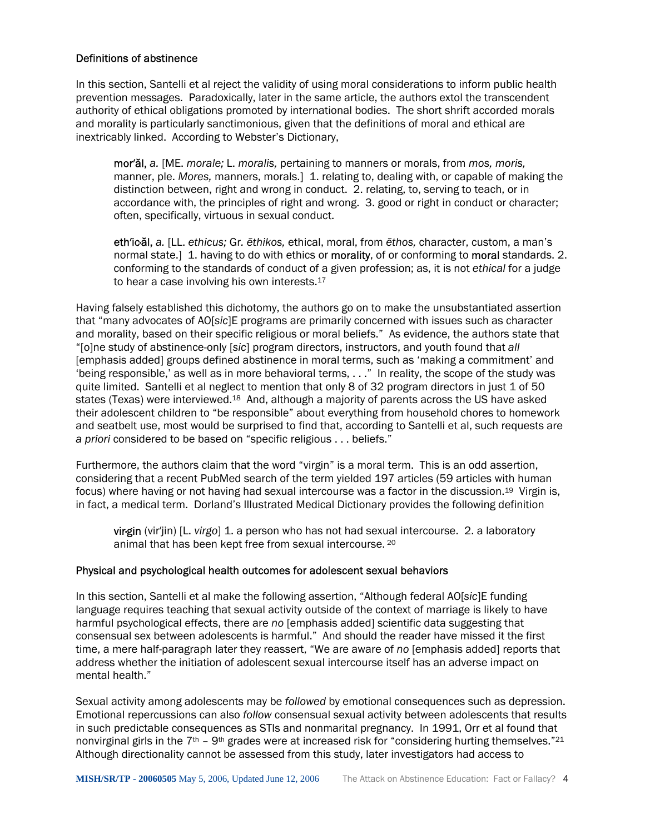#### Definitions of abstinence

In this section, Santelli et al reject the validity of using moral considerations to inform public health prevention messages. Paradoxically, later in the same article, the authors extol the transcendent authority of ethical obligations promoted by international bodies. The short shrift accorded morals and morality is particularly sanctimonious, given that the definitions of moral and ethical are inextricably linked. According to Webster's Dictionary,

mor′ăl, *a.* [ME. *morale;* L. *moralis,* pertaining to manners or morals, from *mos, moris,*  manner, ple. *Mores,* manners, morals.] 1. relating to, dealing with, or capable of making the distinction between, right and wrong in conduct. 2. relating, to, serving to teach, or in accordance with, the principles of right and wrong. 3. good or right in conduct or character; often, specifically, virtuous in sexual conduct.

eth′ic·ăl, *a.* [LL. *ethicus;* Gr*. ēthikos,* ethical, moral, from *ēthos,* character, custom, a man's normal state.] 1. having to do with ethics or morality, of or conforming to moral standards. 2. conforming to the standards of conduct of a given profession; as, it is not *ethical* for a judge to hear a case involving his own interests.<sup>17</sup>

Having falsely established this dichotomy, the authors go on to make the unsubstantiated assertion that "many advocates of AO[*sic*]E programs are primarily concerned with issues such as character and morality, based on their specific religious or moral beliefs." As evidence, the authors state that "[o]ne study of abstinence-only [*sic*] program directors, instructors, and youth found that *all* [emphasis added] groups defined abstinence in moral terms, such as 'making a commitment' and 'being responsible,' as well as in more behavioral terms, . . ." In reality, the scope of the study was quite limited. Santelli et al neglect to mention that only 8 of 32 program directors in just 1 of 50 states (Texas) were interviewed.<sup>18</sup> And, although a majority of parents across the US have asked their adolescent children to "be responsible" about everything from household chores to homework and seatbelt use, most would be surprised to find that, according to Santelli et al, such requests are *a priori* considered to be based on "specific religious . . . beliefs."

Furthermore, the authors claim that the word "virgin" is a moral term. This is an odd assertion, considering that a recent PubMed search of the term yielded 197 articles (59 articles with human focus) where having or not having had sexual intercourse was a factor in the discussion[.19](#page-23-18) Virgin is, in fact, a medical term. Dorland's Illustrated Medical Dictionary provides the following definition

virgin (vir'jin) [L. *virgo*] 1. a person who has not had sexual intercourse. 2. a laboratory animal that has been kept free from sexual intercourse. [20](#page-23-19)

#### Physical and psychological health outcomes for adolescent sexual behaviors

In this section, Santelli et al make the following assertion, "Although federal AO[*sic*]E funding language requires teaching that sexual activity outside of the context of marriage is likely to have harmful psychological effects, there are *no* [emphasis added] scientific data suggesting that consensual sex between adolescents is harmful." And should the reader have missed it the first time, a mere half-paragraph later they reassert, "We are aware of *no* [emphasis added] reports that address whether the initiation of adolescent sexual intercourse itself has an adverse impact on mental health."

Sexual activity among adolescents may be *followed* by emotional consequences such as depression. Emotional repercussions can also *follow* consensual sexual activity between adolescents that results in such predictable consequences as STIs and nonmarital pregnancy. In 1991, Orr et al found that nonvirginal girls in the  $7<sup>th</sup>$  – 9<sup>th</sup> grades were at increased risk for "considering hurting themselves."<sup>21</sup> Although directionality cannot be assessed from this study, later investigators had access to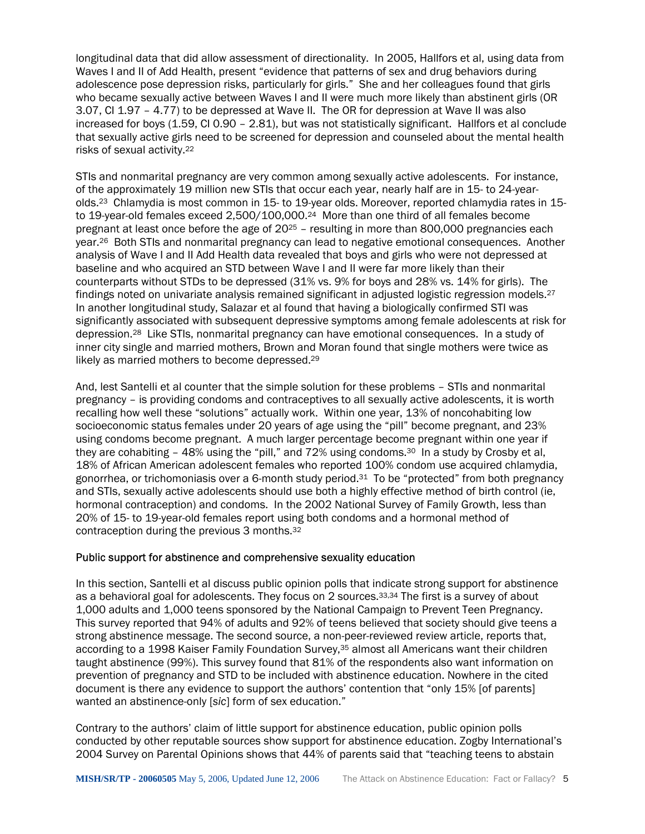longitudinal data that did allow assessment of directionality. In 2005, Hallfors et al, using data from Waves I and II of Add Health, present "evidence that patterns of sex and drug behaviors during adolescence pose depression risks, particularly for girls." She and her colleagues found that girls who became sexually active between Waves I and II were much more likely than abstinent girls (OR 3.07, CI 1.97 – 4.77) to be depressed at Wave II. The OR for depression at Wave II was also increased for boys (1.59, CI 0.90 – 2.81), but was not statistically significant. Hallfors et al conclude that sexually active girls need to be screened for depression and counseled about the mental health risks of sexual activity.[22](#page-23-21) 

STIs and nonmarital pregnancy are very common among sexually active adolescents. For instance, of the approximately 19 million new STIs that occur each year, nearly half are in 15- to 24-yearolds[.23](#page-23-22) Chlamydia is most common in 15- to 19-year olds. Moreover, reported chlamydia rates in 15 to 19-year-old females exceed 2,500/100,000.[24](#page-23-23) More than one third of all females become pregnant at least once before the age of 20[25](#page-23-24) – resulting in more than 800,000 pregnancies each year.[26](#page-23-25) Both STIs and nonmarital pregnancy can lead to negative emotional consequences. Another analysis of Wave I and II Add Health data revealed that boys and girls who were not depressed at baseline and who acquired an STD between Wave I and II were far more likely than their counterparts without STDs to be depressed (31% vs. 9% for boys and 28% vs. 14% for girls). The findings noted on univariate analysis remained significant in adjusted logistic regression models.[27](#page-23-26)  In another longitudinal study, Salazar et al found that having a biologically confirmed STI was significantly associated with subsequent depressive symptoms among female adolescents at risk for depression[.28](#page-23-27) Like STIs, nonmarital pregnancy can have emotional consequences. In a study of inner city single and married mothers, Brown and Moran found that single mothers were twice as likely as married mothers to become depressed.<sup>29</sup>

And, lest Santelli et al counter that the simple solution for these problems – STIs and nonmarital pregnancy – is providing condoms and contraceptives to all sexually active adolescents, it is worth recalling how well these "solutions" actually work. Within one year, 13% of noncohabiting low socioeconomic status females under 20 years of age using the "pill" become pregnant, and 23% using condoms become pregnant. A much larger percentage become pregnant within one year if they are cohabiting - 48% using the "pill," and 72% using condoms.<sup>30</sup> In a study by Crosby et al, 18% of African American adolescent females who reported 100% condom use acquired chlamydia, gonorrhea, or trichomoniasis over a 6-month study period[.31](#page-23-30) To be "protected" from both pregnancy and STIs, sexually active adolescents should use both a highly effective method of birth control (ie, hormonal contraception) and condoms. In the 2002 National Survey of Family Growth, less than 20% of 15- to 19-year-old females report using both condoms and a hormonal method of contraception during the previous 3 months.[32](#page-23-31) 

#### Public support for abstinence and comprehensive sexuality education

In this section, Santelli et al discuss public opinion polls that indicate strong support for abstinence as a behavioral goal for adolescents. They focus on 2 sources.<sup>[33,](#page-23-32)34</sup> The first is a survey of about 1,000 adults and 1,000 teens sponsored by the National Campaign to Prevent Teen Pregnancy. This survey reported that 94% of adults and 92% of teens believed that society should give teens a strong abstinence message. The second source, a non-peer-reviewed review article, reports that, according to a 1998 Kaiser Family Foundation Survey,<sup>35</sup> almost all Americans want their children taught abstinence (99%). This survey found that 81% of the respondents also want information on prevention of pregnancy and STD to be included with abstinence education. Nowhere in the cited document is there any evidence to support the authors' contention that "only 15% [of parents] wanted an abstinence-only [*sic*] form of sex education."

Contrary to the authors' claim of little support for abstinence education, public opinion polls conducted by other reputable sources show support for abstinence education. Zogby International's 2004 Survey on Parental Opinions shows that 44% of parents said that "teaching teens to abstain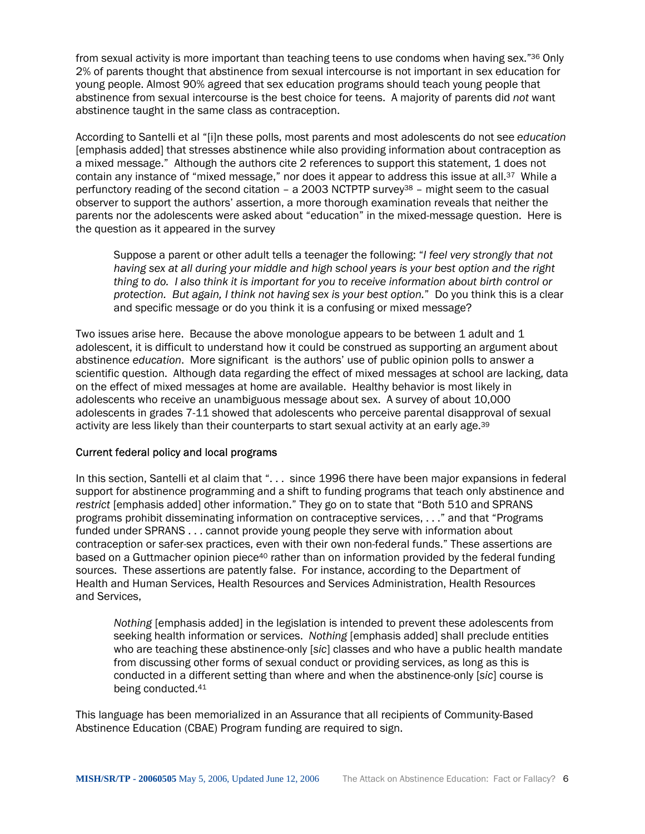from sexual activity is more important than teaching teens to use condoms when having sex."[36](#page-23-35) Only 2% of parents thought that abstinence from sexual intercourse is not important in sex education for young people. Almost 90% agreed that sex education programs should teach young people that abstinence from sexual intercourse is the best choice for teens. A majority of parents did *not* want abstinence taught in the same class as contraception.

According to Santelli et al "[i]n these polls, most parents and most adolescents do not see *education* [emphasis added] that stresses abstinence while also providing information about contraception as a mixed message." Although the authors cite 2 references to support this statement, 1 does not contain any instance of "mixed message," nor does it appear to address this issue at all.<sup>37</sup> While a perfunctory reading of the second citation – a 2003 NCTPTP survey<sup>38</sup> – might seem to the casual observer to support the authors' assertion, a more thorough examination reveals that neither the parents nor the adolescents were asked about "education" in the mixed-message question. Here is the question as it appeared in the survey

Suppose a parent or other adult tells a teenager the following: "*I feel very strongly that not having sex at all during your middle and high school years is your best option and the right thing to do. I also think it is important for you to receive information about birth control or protection. But again, I think not having sex is your best option.*" Do you think this is a clear and specific message or do you think it is a confusing or mixed message?

Two issues arise here. Because the above monologue appears to be between 1 adult and 1 adolescent, it is difficult to understand how it could be construed as supporting an argument about abstinence *education*. More significant is the authors' use of public opinion polls to answer a scientific question. Although data regarding the effect of mixed messages at school are lacking, data on the effect of mixed messages at home are available. Healthy behavior is most likely in adolescents who receive an unambiguous message about sex. A survey of about 10,000 adolescents in grades 7-11 showed that adolescents who perceive parental disapproval of sexual activity are less likely than their counterparts to start sexual activity at an early age.[39](#page-23-38) 

#### Current federal policy and local programs

In this section, Santelli et al claim that "... since 1996 there have been major expansions in federal support for abstinence programming and a shift to funding programs that teach only abstinence and *restrict* [emphasis added] other information." They go on to state that "Both 510 and SPRANS programs prohibit disseminating information on contraceptive services, . . ." and that "Programs funded under SPRANS . . . cannot provide young people they serve with information about contraception or safer-sex practices, even with their own non-federal funds." These assertions are based on a Guttmacher opinion piece<sup>40</sup> rather than on information provided by the federal funding sources. These assertions are patently false. For instance, according to the Department of Health and Human Services, Health Resources and Services Administration, Health Resources and Services,

*Nothing* [emphasis added] in the legislation is intended to prevent these adolescents from seeking health information or services. *Nothing* [emphasis added] shall preclude entities who are teaching these abstinence-only [*sic*] classes and who have a public health mandate from discussing other forms of sexual conduct or providing services, as long as this is conducted in a different setting than where and when the abstinence-only [*sic*] course is being conducted.[41](#page-23-40) 

This language has been memorialized in an Assurance that all recipients of Community-Based Abstinence Education (CBAE) Program funding are required to sign.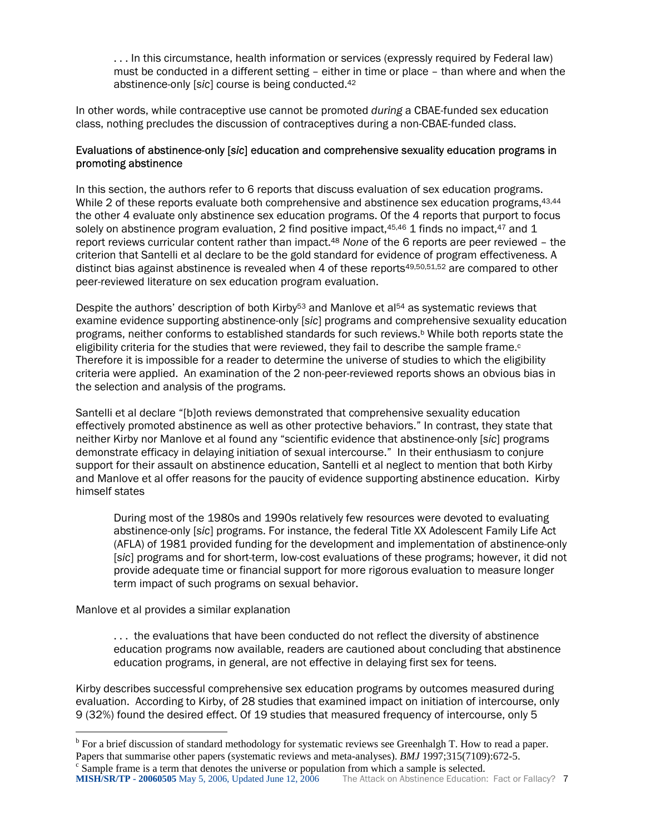. . . In this circumstance, health information or services (expressly required by Federal law) must be conducted in a different setting – either in time or place – than where and when the abstinence-only [*sic*] course is being conducted.[42](#page-23-41)

In other words, while contraceptive use cannot be promoted *during* a CBAE-funded sex education class, nothing precludes the discussion of contraceptives during a non-CBAE-funded class.

#### Evaluations of abstinence-only [*sic*] education and comprehensive sexuality education programs in promoting abstinence

In this section, the authors refer to 6 reports that discuss evaluation of sex education programs. While 2 of these reports evaluate both comprehensive and abstinence sex education programs, [43,](#page-23-42)[44](#page-23-43) the other 4 evaluate only abstinence sex education programs. Of the 4 reports that purport to focus solely on abstinence program evaluation, 2 find positive impact, $45,46$  $45,46$  1 finds no impact, $47$  and 1 report reviews curricular content rather than impact[.48](#page-23-47) *None* of the 6 reports are peer reviewed – the criterion that Santelli et al declare to be the gold standard for evidence of program effectiveness. A distinctbias against abstinence is revealed when 4 of these reports $49,50,51,52$  $49,50,51,52$  $49,50,51,52$  $49,50,51,52$  $49,50,51,52$  are compared to other peer-reviewed literature on sex education program evaluation.

Despite the authors' description of both Kirby<sup>53</sup> and Manlove et al<sup>54</sup> as systematic reviews that examine evidence supporting abstinence-only [*sic*] programs and comprehensive sexuality education programs, neither conforms to established standards for such reviews[.b](#page-8-0) While both reports state the eligibility criteria for the studies that were reviewed, they fail to describe the sample frame. $\circ$ Therefore it is impossible for a reader to determine the universe of studies to which the eligibility criteria were applied. An examination of the 2 non-peer-reviewed reports shows an obvious bias in the selection and analysis of the programs.

Santelli et al declare "[b]oth reviews demonstrated that comprehensive sexuality education effectively promoted abstinence as well as other protective behaviors." In contrast, they state that neither Kirby nor Manlove et al found any "scientific evidence that abstinence-only [*sic*] programs demonstrate efficacy in delaying initiation of sexual intercourse." In their enthusiasm to conjure support for their assault on abstinence education, Santelli et al neglect to mention that both Kirby and Manlove et al offer reasons for the paucity of evidence supporting abstinence education. Kirby himself states

During most of the 1980s and 1990s relatively few resources were devoted to evaluating abstinence-only [*sic*] programs. For instance, the federal Title XX Adolescent Family Life Act (AFLA) of 1981 provided funding for the development and implementation of abstinence-only [*sic*] programs and for short-term, low-cost evaluations of these programs; however, it did not provide adequate time or financial support for more rigorous evaluation to measure longer term impact of such programs on sexual behavior.

Manlove et al provides a similar explanation

 $\overline{a}$ 

. . . the evaluations that have been conducted do not reflect the diversity of abstinence education programs now available, readers are cautioned about concluding that abstinence education programs, in general, are not effective in delaying first sex for teens.

Kirby describes successful comprehensive sex education programs by outcomes measured during evaluation. According to Kirby, of 28 studies that examined impact on initiation of intercourse, only 9 (32%) found the desired effect. Of 19 studies that measured frequency of intercourse, only 5

<span id="page-8-1"></span><span id="page-8-0"></span><sup>&</sup>lt;sup>b</sup> For a brief discussion of standard methodology for systematic reviews see Greenhalgh T. How to read a paper. Papers that summarise other papers (systematic reviews and meta-analyses). *BMJ* 1997;315(7109):672-5.  $\epsilon$  Sample frame is a term that denotes the universe or population from which a sample is selected.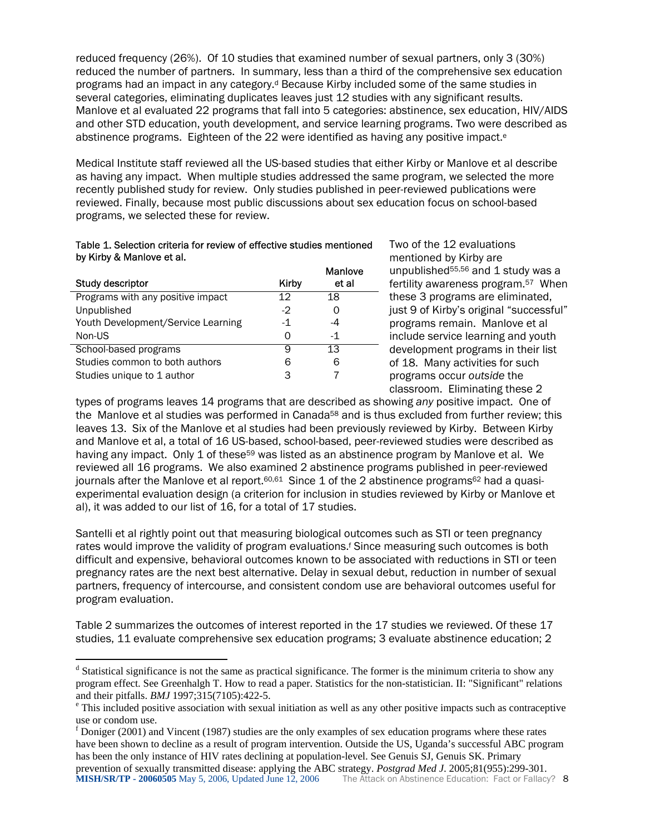reduced frequency (26%). Of 10 studies that examined number of sexual partners, only 3 (30%) reduced the number of partners. In summary, less than a third of the comprehensive sex education programs ha[d](#page-9-0) an impact in any category.<sup>d</sup> Because Kirby included some of the same studies in several categories, eliminating duplicates leaves just 12 studies with any significant results. Manlove et al evaluated 22 programs that fall into 5 categories: abstinence, sex education, HIV/AIDS and other STD education, youth development, and service learning programs. Two were described as abstinenc[e](#page-9-1) programs. Eighteen of the 22 were identified as having any positive impact.<sup>e</sup>

Medical Institute staff reviewed all the US-based studies that either Kirby or Manlove et al describe as having any impact. When multiple studies addressed the same program, we selected the more recently published study for review. Only studies published in peer-reviewed publications were reviewed. Finally, because most public discussions about sex education focus on school-based programs, we selected these for review.

#### Table 1. Selection criteria for review of effective studies mentioned by Kirby & Manlove et al.

| Study descriptor                   | Kirby | <b>Manlove</b><br>et al |
|------------------------------------|-------|-------------------------|
| Programs with any positive impact  | 12    | 18                      |
| Unpublished                        | $-2$  |                         |
| Youth Development/Service Learning | $-1$  | -4                      |
| Non-US                             | ∩     | $-1$                    |
| School-based programs              | q     | 13                      |
| Studies common to both authors     | 6     | ൳                       |
| Studies unique to 1 author         | З     |                         |

 $\overline{a}$ 

Two of the 12 evaluations mentioned by Kirby are unpublished<sup>[55,](#page-23-50)56</sup> and 1 study was a fertility awareness program.[57](#page-23-35) When these 3 programs are eliminated, just 9 of Kirby's original "successful" programs remain. Manlove et al include service learning and youth development programs in their list of 18. Many activities for such programs occur *outside* the classroom. Eliminating these 2

types of programs leaves 14 programs that are described as showing *any* positive impact. One of the Manlove et al studies was performed in Canada<sup>58</sup> and is thus excluded from further review; this leaves 13. Six of the Manlove et al studies had been previously reviewed by Kirby. Between Kirby and Manlove et al, a total of 16 US-based, school-based, peer-reviewed studies were described as having any impact. Only 1 of these<sup>59</sup> was listed as an abstinence program by Manlove et al. We reviewed all 16 programs. We also examined 2 abstinence programs published in peer-reviewed journals after the Manlove et al report.<sup>[60,](#page-23-38)61</sup> Since 1 of the 2 abstinence programs<sup>62</sup> had a quasiexperimental evaluation design (a criterion for inclusion in studies reviewed by Kirby or Manlove et al), it was added to our list of 16, for a total of 17 studies.

Santelli et al rightly point out that measuring biological outcomes such as STI or teen pregnancy rateswould improve the validity of program evaluations.<sup>f</sup> Since measuring such outcomes is both difficult and expensive, behavioral outcomes known to be associated with reductions in STI or teen pregnancy rates are the next best alternative. Delay in sexual debut, reduction in number of sexual partners, frequency of intercourse, and consistent condom use are behavioral outcomes useful for program evaluation.

Table 2 summarizes the outcomes of interest reported in the 17 studies we reviewed. Of these 17 studies, 11 evaluate comprehensive sex education programs; 3 evaluate abstinence education; 2

<span id="page-9-0"></span><sup>&</sup>lt;sup>d</sup> Statistical significance is not the same as practical significance. The former is the minimum criteria to show any program effect. See Greenhalgh T. How to read a paper. Statistics for the non-statistician. II: "Significant" relations and their pitfalls. *BMJ* 1997;315(7105):422-5.

<span id="page-9-1"></span>This included positive association with sexual initiation as well as any other positive impacts such as contraceptive use or condom use.

<span id="page-9-2"></span>**MISH/SR/TP - 20060505** May 5, 2006, Updated June 12, 2006 The Attack on Abstinence Education: Fact or Fallacy? 8  $f$  Doniger (2001) and Vincent (1987) studies are the only examples of sex education programs where these rates have been shown to decline as a result of program intervention. Outside the US, Uganda's successful ABC program has been the only instance of HIV rates declining at population-level. See Genuis SJ, Genuis SK. Primary prevention of sexually transmitted disease: applying the ABC strategy. *Postgrad Med J*. 2005;81(955):299-301.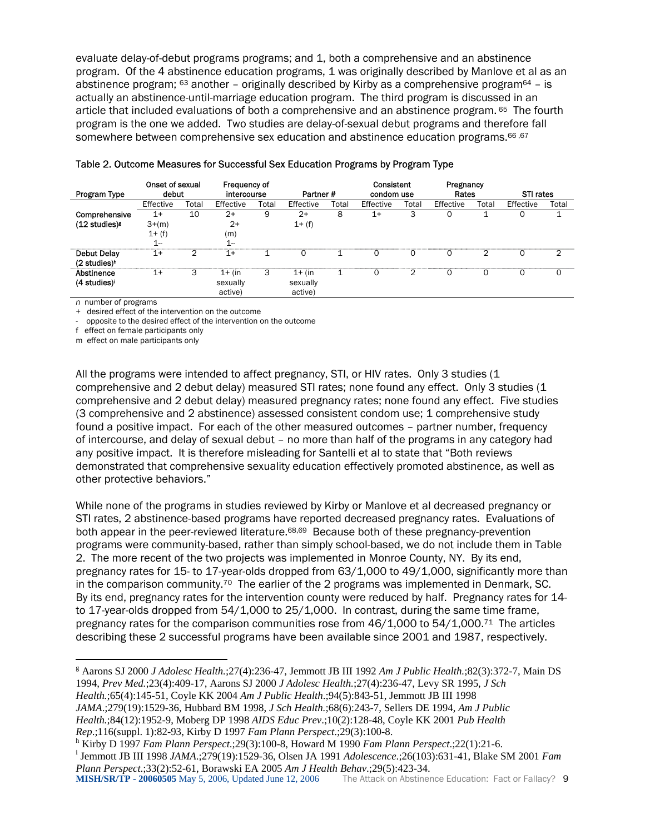evaluate delay-of-debut programs programs; and 1, both a comprehensive and an abstinence program. Of the 4 abstinence education programs, 1 was originally described by Manlove et al as an abstinence program;  $63$  another – originally described by Kirby as a comprehensive program $64$  – is actually an abstinence-until-marriage education program. The third program is discussed in an article that included evaluations of both a comprehensive and an abstinence program. [65](#page-23-40) The fourth program is the one we added. Two studies are delay-of-sexual debut programs and therefore fall somewhere between comprehensive sex education and abstinence education programs.<sup>66,67</sup>

| Program Type               | Onset of sexual<br>debut |       | Frequency of<br>intercourse |       | Partner#  |       | Consistent<br>condom use |       | Pregnancy<br>Rates |       | STI rates |       |
|----------------------------|--------------------------|-------|-----------------------------|-------|-----------|-------|--------------------------|-------|--------------------|-------|-----------|-------|
|                            | Effective                | Total | Effective                   | Total | Effective | Total | Effective                | Total | Effective          | Total | Effective | Total |
| Comprehensive              | $1+$                     | 10    | $2+$                        | 9     | $2+$      | 8     | 1+                       |       |                    |       |           |       |
| $(12$ studies) $\epsilon$  | $3+(m)$                  |       | $2+$                        |       | $1 + (f)$ |       |                          |       |                    |       |           |       |
|                            | $1 + (f)$                |       | (m)                         |       |           |       |                          |       |                    |       |           |       |
|                            | и<br>l --                |       | $1 -$                       |       |           |       |                          |       |                    |       |           |       |
| <b>Debut Delay</b>         | 1+                       | 2     | $1+$                        |       | $\Omega$  |       |                          |       | O                  | ◠     | O         | ⌒     |
| $(2$ studies) <sup>h</sup> |                          |       |                             |       |           |       |                          |       |                    |       |           |       |
| Abstinence                 | 1+                       | 3     | $1+$ (in                    | 3     | $1+$ (in  |       |                          |       |                    |       | O         | 0     |
| (4 studies) <sup>1</sup>   |                          |       | sexually                    |       | sexually  |       |                          |       |                    |       |           |       |
|                            |                          |       | active)                     |       | active)   |       |                          |       |                    |       |           |       |

|  |  | Table 2. Outcome Measures for Successful Sex Education Programs by Program Type |
|--|--|---------------------------------------------------------------------------------|
|--|--|---------------------------------------------------------------------------------|

*n* number of programs

 $\overline{a}$ 

+ desired effect of the intervention on the outcome

- opposite to the desired effect of the intervention on the outcome

f effect on female participants only

m effect on male participants only

All the programs were intended to affect pregnancy, STI, or HIV rates. Only 3 studies (1 comprehensive and 2 debut delay) measured STI rates; none found any effect. Only 3 studies (1 comprehensive and 2 debut delay) measured pregnancy rates; none found any effect. Five studies (3 comprehensive and 2 abstinence) assessed consistent condom use; 1 comprehensive study found a positive impact. For each of the other measured outcomes – partner number, frequency of intercourse, and delay of sexual debut – no more than half of the programs in any category had any positive impact. It is therefore misleading for Santelli et al to state that "Both reviews demonstrated that comprehensive sexuality education effectively promoted abstinence, as well as other protective behaviors."

While none of the programs in studies reviewed by Kirby or Manlove et al decreased pregnancy or STI rates, 2 abstinence-based programs have reported decreased pregnancy rates. Evaluations of both appear in the peer-reviewed literature[.68,](#page-23-58)[69](#page-23-59) Because both of these pregnancy-prevention programs were community-based, rather than simply school-based, we do not include them in Table 2. The more recent of the two projects was implemented in Monroe County, NY. By its end, pregnancy rates for 15- to 17-year-olds dropped from 63/1,000 to 49/1,000, significantly more than in the comparison community.<sup>70</sup> The earlier of the 2 programs was implemented in Denmark, SC. By its end, pregnancy rates for the intervention county were reduced by half. Pregnancy rates for 14 to 17-year-olds dropped from 54/1,000 to 25/1,000. In contrast, during the same time frame, pregnancy rates for the comparison communities rose from  $46/1,000$  to  $54/1,000$ .<sup>71</sup> The articles describing these 2 successful programs have been available since 2001 and 1987, respectively.

<span id="page-10-0"></span>g Aarons SJ 2000 *J Adolesc Health.*;27(4):236-47, Jemmott JB III 1992 *Am J Public Health.*;82(3):372-7, Main DS 1994, *Prev Med.*;23(4):409-17, Aarons SJ 2000 *J Adolesc Health.*;27(4):236-47, Levy SR 1995, *J Sch Health.*;65(4):145-51, Coyle KK 2004 *Am J Public Health*.;94(5):843-51, Jemmott JB III 1998 *JAMA*.;279(19):1529-36, Hubbard BM 1998, *J Sch Health.*;68(6):243-7, Sellers DE 1994, *Am J Public Health.*;84(12):1952-9, Moberg DP 1998 *AIDS Educ Prev*.;10(2):128-48, Coyle KK 2001 *Pub Health Rep*.;116(suppl. 1):82-93, Kirby D 1997 *Fam Plann Perspect*.;29(3):100-8. h

<span id="page-10-2"></span><span id="page-10-1"></span><sup>h</sup> Kirby D 1997 *Fam Plann Perspect*: 29(3):100-8, Howard M 1990 *Fam Plann Perspect*: 22(1): 21-6. Jemmott JB III 1998 *JAMA*.;279(19):1529-36, Olsen JA 1991 *Adolescence*.;26(103):631-41, Blake SM 2001 *Fam Plann Perspect*.;33(2):52-61, Borawski EA 2005 *Am J Health Behav*.;29(5):423-34.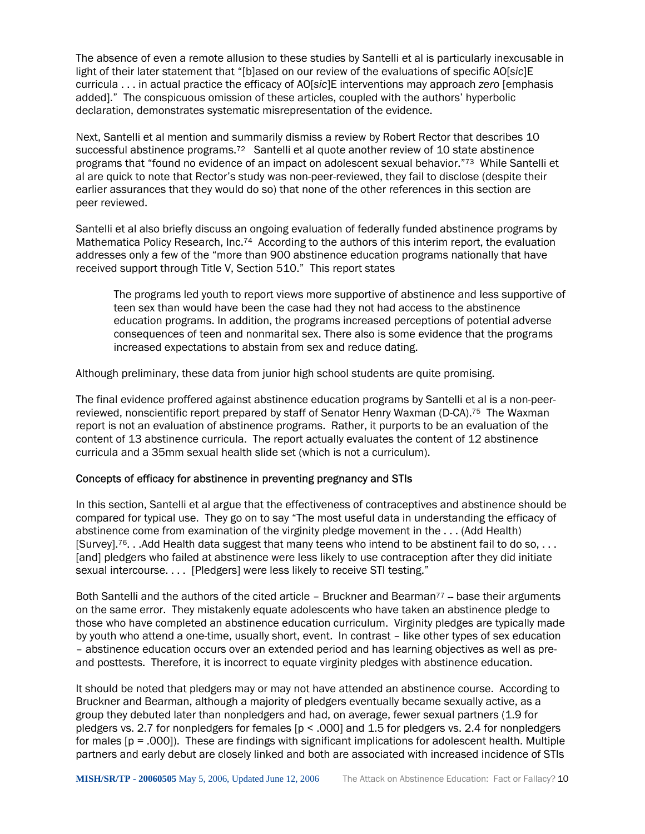The absence of even a remote allusion to these studies by Santelli et al is particularly inexcusable in light of their later statement that "[b]ased on our review of the evaluations of specific AO[*sic*]E curricula . . . in actual practice the efficacy of AO[*sic*]E interventions may approach *zero* [emphasis added]." The conspicuous omission of these articles, coupled with the authors' hyperbolic declaration, demonstrates systematic misrepresentation of the evidence.

Next, Santelli et al mention and summarily dismiss a review by Robert Rector that describes 10 successful abstinence programs.<sup>72</sup> Santelli et al quote another review of 10 state abstinence programs that "found no evidence of an impact on adolescent sexual behavior."[73](#page-23-61) While Santelli et al are quick to note that Rector's study was non-peer-reviewed, they fail to disclose (despite their earlier assurances that they would do so) that none of the other references in this section are peer reviewed.

Santelli et al also briefly discuss an ongoing evaluation of federally funded abstinence programs by Mathematica Policy Research, Inc.<sup>74</sup> According to the authors of this interim report, the evaluation addresses only a few of the "more than 900 abstinence education programs nationally that have received support through Title V, Section 510." This report states

The programs led youth to report views more supportive of abstinence and less supportive of teen sex than would have been the case had they not had access to the abstinence education programs. In addition, the programs increased perceptions of potential adverse consequences of teen and nonmarital sex. There also is some evidence that the programs increased expectations to abstain from sex and reduce dating.

Although preliminary, these data from junior high school students are quite promising.

The final evidence proffered against abstinence education programs by Santelli et al is a non-peerreviewed, nonscientific report prepared by staff of Senator Henry Waxman (D-CA).[75](#page-23-63) The Waxman report is not an evaluation of abstinence programs. Rather, it purports to be an evaluation of the content of 13 abstinence curricula. The report actually evaluates the content of 12 abstinence curricula and a 35mm sexual health slide set (which is not a curriculum).

#### Concepts of efficacy for abstinence in preventing pregnancy and STIs

In this section, Santelli et al argue that the effectiveness of contraceptives and abstinence should be compared for typical use. They go on to say "The most useful data in understanding the efficacy of abstinence come from examination of the virginity pledge movement in the . . . (Add Health) [Survey].<sup>76</sup>. . .Add Health data suggest that many teens who intend to be abstinent fail to do so, . . . [and] pledgers who failed at abstinence were less likely to use contraception after they did initiate sexual intercourse. . . . [Pledgers] were less likely to receive STI testing."

Both Santelli and the authors of the cited article - Bruckner and Bearman $77 -$  base their arguments on the same error. They mistakenly equate adolescents who have taken an abstinence pledge to those who have completed an abstinence education curriculum. Virginity pledges are typically made by youth who attend a one-time, usually short, event. In contrast – like other types of sex education – abstinence education occurs over an extended period and has learning objectives as well as preand posttests. Therefore, it is incorrect to equate virginity pledges with abstinence education.

It should be noted that pledgers may or may not have attended an abstinence course. According to Bruckner and Bearman, although a majority of pledgers eventually became sexually active, as a group they debuted later than nonpledgers and had, on average, fewer sexual partners (1.9 for pledgers vs. 2.7 for nonpledgers for females  $[p \le .000]$  and 1.5 for pledgers vs. 2.4 for nonpledgers for males [p = .000]). These are findings with significant implications for adolescent health. Multiple partners and early debut are closely linked and both are associated with increased incidence of STIs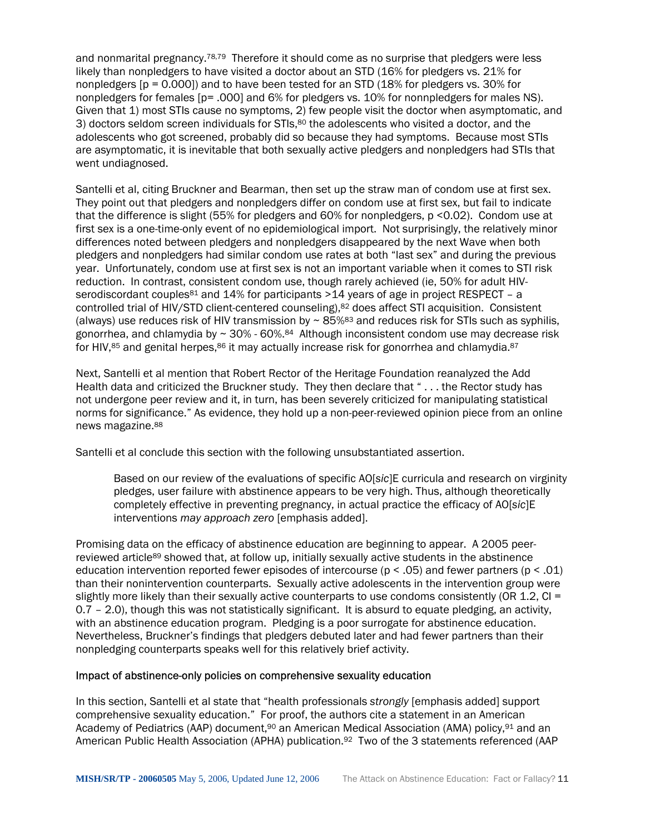and nonmarital pregnancy.<sup>[78,](#page-23-65)79</sup> Therefore it should come as no surprise that pledgers were less likely than nonpledgers to have visited a doctor about an STD (16% for pledgers vs. 21% for nonpledgers  $[p = 0.000]$  and to have been tested for an STD (18% for pledgers vs. 30% for nonpledgers for females [p= .000] and 6% for pledgers vs. 10% for nonnpledgers for males NS). Given that 1) most STIs cause no symptoms, 2) few people visit the doctor when asymptomatic, and 3) doctors seldom screen individuals for STIs, $80$  the adolescents who visited a doctor, and the adolescents who got screened, probably did so because they had symptoms. Because most STIs are asymptomatic, it is inevitable that both sexually active pledgers and nonpledgers had STIs that went undiagnosed.

Santelli et al, citing Bruckner and Bearman, then set up the straw man of condom use at first sex. They point out that pledgers and nonpledgers differ on condom use at first sex, but fail to indicate that the difference is slight (55% for pledgers and 60% for nonpledgers, p <0.02). Condom use at first sex is a one-time-only event of no epidemiological import. Not surprisingly, the relatively minor differences noted between pledgers and nonpledgers disappeared by the next Wave when both pledgers and nonpledgers had similar condom use rates at both "last sex" and during the previous year. Unfortunately, condom use at first sex is not an important variable when it comes to STI risk reduction. In contrast, consistent condom use, though rarely achieved (ie, 50% for adult HIVserodiscordant couples<sup>81</sup> and 14% for participants  $>14$  years of age in project RESPECT - a controlled trial of HIV/STD client-centered counseling)[,82](#page-23-30) does affect STI acquisition. Consistent (always) use reduces risk of HIV transmission by  $\sim 85\%$ <sup>83</sup> and reduces risk for STIs such as syphilis, gonorrhea, and chlamydia by  $\sim 30\%$  - 60%.<sup>84</sup> Although inconsistent condom use may decrease risk for HIV, $85$  and genital herpes, $86$  it may actually increase risk for gonorrhea and chlamydia. $87$ 

Next, Santelli et al mention that Robert Rector of the Heritage Foundation reanalyzed the Add Health data and criticized the Bruckner study. They then declare that " . . . the Rector study has not undergone peer review and it, in turn, has been severely criticized for manipulating statistical norms for significance." As evidence, they hold up a non-peer-reviewed opinion piece from an online news magazine[.88](#page-23-52) 

Santelli et al conclude this section with the following unsubstantiated assertion.

Based on our review of the evaluations of specific AO[*sic*]E curricula and research on virginity pledges, user failure with abstinence appears to be very high. Thus, although theoretically completely effective in preventing pregnancy, in actual practice the efficacy of AO[*sic*]E interventions *may approach zero* [emphasis added].

Promising data on the efficacy of abstinence education are beginning to appear. A 2005 peerreviewed article<sup>89</sup> showed that, at follow up, initially sexually active students in the abstinence education intervention reported fewer episodes of intercourse ( $p < .05$ ) and fewer partners ( $p < .01$ ) than their nonintervention counterparts. Sexually active adolescents in the intervention group were slightly more likely than their sexually active counterparts to use condoms consistently (OR 1.2, CI = 0.7 – 2.0), though this was not statistically significant. It is absurd to equate pledging, an activity, with an abstinence education program. Pledging is a poor surrogate for abstinence education. Nevertheless, Bruckner's findings that pledgers debuted later and had fewer partners than their nonpledging counterparts speaks well for this relatively brief activity.

#### Impact of abstinence-only policies on comprehensive sexuality education

In this section, Santelli et al state that "health professionals *strongly* [emphasis added] support comprehensive sexuality education." For proof, the authors cite a statement in an American Academy of Pediatrics (AAP) document,<sup>90</sup> an American Medical Association (AMA) policy,<sup>91</sup> and an American Public Health Association (APHA) publication.<sup>92</sup> Two of the 3 statements referenced (AAP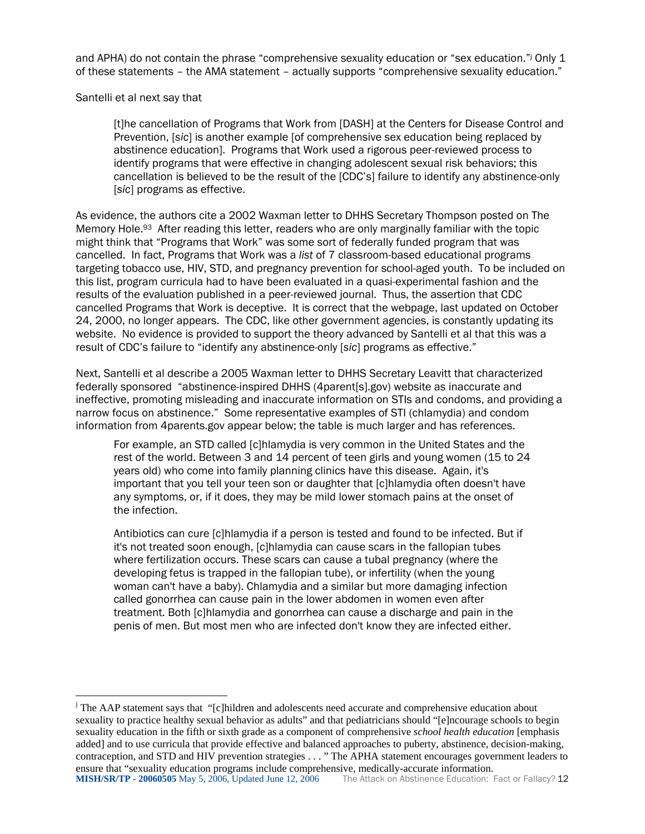andAPHA) do not contain the phrase "comprehensive sexuality education or "sex education."<sup>j</sup> Only 1 of these statements – the AMA statement – actually supports "comprehensive sexuality education."

Santelli et al next say that

 $\overline{a}$ 

[t]he cancellation of Programs that Work from [DASH] at the Centers for Disease Control and Prevention, [*sic*] is another example [of comprehensive sex education being replaced by abstinence education]. Programs that Work used a rigorous peer-reviewed process to identify programs that were effective in changing adolescent sexual risk behaviors; this cancellation is believed to be the result of the [CDC's] failure to identify any abstinence-only [*sic*] programs as effective.

As evidence, the authors cite a 2002 Waxman letter to DHHS Secretary Thompson posted on The Memory Hole[.93](#page-23-69) After reading this letter, readers who are only marginally familiar with the topic might think that "Programs that Work" was some sort of federally funded program that was cancelled. In fact, Programs that Work was a *list* of 7 classroom-based educational programs targeting tobacco use, HIV, STD, and pregnancy prevention for school-aged youth. To be included on this list, program curricula had to have been evaluated in a quasi-experimental fashion and the results of the evaluation published in a peer-reviewed journal. Thus, the assertion that CDC cancelled Programs that Work is deceptive. It is correct that the webpage, last updated on October 24, 2000, no longer appears. The CDC, like other government agencies, is constantly updating its website. No evidence is provided to support the theory advanced by Santelli et al that this was a result of CDC's failure to "identify any abstinence-only [*sic*] programs as effective."

Next, Santelli et al describe a 2005 Waxman letter to DHHS Secretary Leavitt that characterized federally sponsored "abstinence-inspired DHHS (4parent[s].gov) website as inaccurate and ineffective, promoting misleading and inaccurate information on STIs and condoms, and providing a narrow focus on abstinence." Some representative examples of STI (chlamydia) and condom information from 4parents.gov appear below; the table is much larger and has references.

For example, an STD called [c]hlamydia is very common in the United States and the rest of the world. Between 3 and 14 percent of teen girls and young women (15 to 24 years old) who come into family planning clinics have this disease. Again, it's important that you tell your teen son or daughter that [c]hlamydia often doesn't have any symptoms, or, if it does, they may be mild lower stomach pains at the onset of the infection.

Antibiotics can cure [c]hlamydia if a person is tested and found to be infected. But if it's not treated soon enough, [c]hlamydia can cause scars in the fallopian tubes where fertilization occurs. These scars can cause a tubal pregnancy (where the developing fetus is trapped in the fallopian tube), or infertility (when the young woman can't have a baby). Chlamydia and a similar but more damaging infection called gonorrhea can cause pain in the lower abdomen in women even after treatment. Both [c]hlamydia and gonorrhea can cause a discharge and pain in the penis of men. But most men who are infected don't know they are infected either.

<span id="page-13-0"></span>**MISH/SR/TP - 20060505** May 5, 2006, Updated June 12, 2006 The Attack on Abstinence Education: Fact or Fallacy? 12 <sup>j</sup> The AAP statement says that "[c]hildren and adolescents need accurate and comprehensive education about sexuality to practice healthy sexual behavior as adults" and that pediatricians should "[e]ncourage schools to begin sexuality education in the fifth or sixth grade as a component of comprehensive *school health education* [emphasis added] and to use curricula that provide effective and balanced approaches to puberty, abstinence, decision-making, contraception, and STD and HIV prevention strategies . . . " The APHA statement encourages government leaders to ensure that "sexuality education programs include comprehensive, medically-accurate information.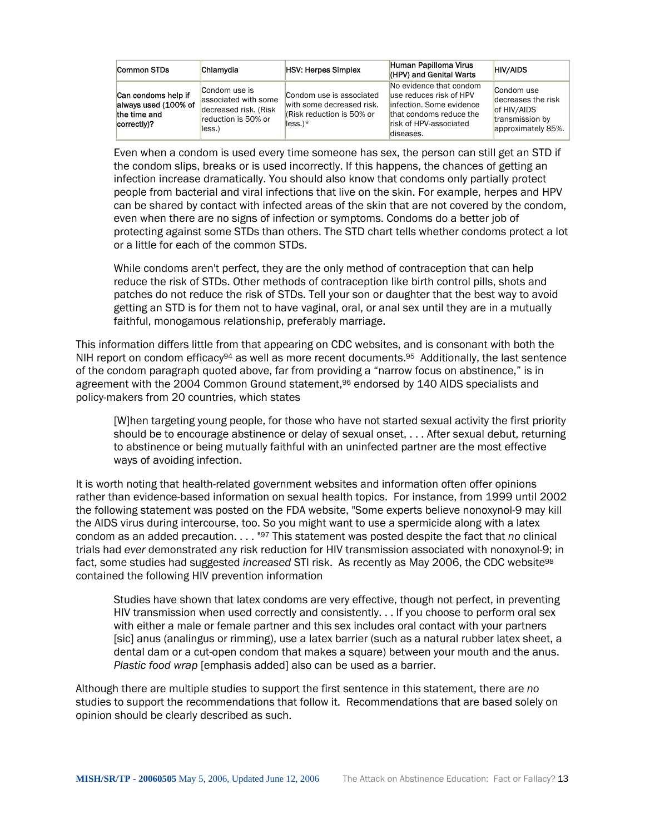| Common STDs                                                                | Chlamydia                                                                                       | <b>HSV: Herpes Simplex</b>                                                                       | Human Papilloma Virus<br>(HPV) and Genital Warts                                                                                                   | <b>HIV/AIDS</b>                                                                          |
|----------------------------------------------------------------------------|-------------------------------------------------------------------------------------------------|--------------------------------------------------------------------------------------------------|----------------------------------------------------------------------------------------------------------------------------------------------------|------------------------------------------------------------------------------------------|
| Can condoms help if<br>always used (100% of<br>the time and<br>correctly)? | Condom use is<br>associated with some<br>decreased risk. (Risk<br>reduction is 50% or<br>less.) | Condom use is associated<br>with some decreased risk.<br>KRisk reduction is 50% or<br>$less.$ )* | No evidence that condom<br>luse reduces risk of HPV<br>linfection. Some evidence<br>that condoms reduce the<br>risk of HPV-associated<br>diseases. | Condom use<br>decreases the risk<br>of HIV/AIDS<br>transmission by<br>approximately 85%. |

Even when a condom is used every time someone has sex, the person can still get an STD if the condom slips, breaks or is used incorrectly. If this happens, the chances of getting an infection increase dramatically. You should also know that condoms only partially protect people from bacterial and viral infections that live on the skin. For example, herpes and HPV can be shared by contact with infected areas of the skin that are not covered by the condom, even when there are no signs of infection or symptoms. Condoms do a better job of protecting against some STDs than others. The STD chart tells whether condoms protect a lot or a little for each of the common STDs.

While condoms aren't perfect, they are the only method of contraception that can help reduce the risk of STDs. Other methods of contraception like birth control pills, shots and patches do not reduce the risk of STDs. Tell your son or daughter that the best way to avoid getting an STD is for them not to have vaginal, oral, or anal sex until they are in a mutually faithful, monogamous relationship, preferably marriage.

This information differs little from that appearing on CDC websites, and is consonant with both the NIH report on condom efficacy<sup>94</sup> as well as more recent documents.<sup>95</sup> Additionally, the last sentence of the condom paragraph quoted above, far from providing a "narrow focus on abstinence," is in agreement with the 2004 Common Ground statement,<sup>96</sup> endorsed by 140 AIDS specialists and policy-makers from 20 countries, which states

[W]hen targeting young people, for those who have not started sexual activity the first priority should be to encourage abstinence or delay of sexual onset, . . . After sexual debut, returning to abstinence or being mutually faithful with an uninfected partner are the most effective ways of avoiding infection.

It is worth noting that health-related government websites and information often offer opinions rather than evidence-based information on sexual health topics. For instance, from 1999 until 2002 the following statement was posted on the FDA website, "Some experts believe nonoxynol-9 may kill the AIDS virus during intercourse, too. So you might want to use a spermicide along with a latex condom as an added precaution. . . . "[97](#page-23-57) This statement was posted despite the fact that *no* clinical trials had *ever* demonstrated any risk reduction for HIV transmission associated with nonoxynol-9; in fact, some studies had suggested *increased* STI risk. As recently as May 2006, the CDC website[98](#page-23-71) contained the following HIV prevention information

Studies have shown that latex condoms are very effective, though not perfect, in preventing HIV transmission when used correctly and consistently. . . If you choose to perform oral sex with either a male or female partner and this sex includes oral contact with your partners [sic] anus (analingus or rimming), use a latex barrier (such as a natural rubber latex sheet, a dental dam or a cut-open condom that makes a square) between your mouth and the anus. *Plastic food wrap* [emphasis added] also can be used as a barrier.

Although there are multiple studies to support the first sentence in this statement, there are *no* studies to support the recommendations that follow it. Recommendations that are based solely on opinion should be clearly described as such.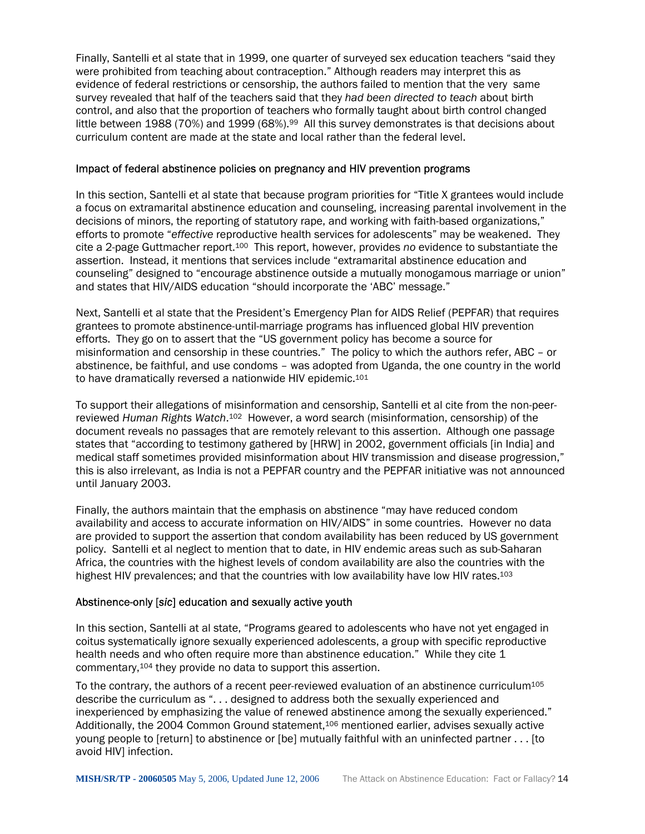Finally, Santelli et al state that in 1999, one quarter of surveyed sex education teachers "said they were prohibited from teaching about contraception." Although readers may interpret this as evidence of federal restrictions or censorship, the authors failed to mention that the very same survey revealed that half of the teachers said that they *had been directed to teach* about birth control, and also that the proportion of teachers who formally taught about birth control changed little between 1988 (70%) and 19[99](#page-23-72) (68%).<sup>99</sup> All this survey demonstrates is that decisions about curriculum content are made at the state and local rather than the federal level.

#### Impact of federal abstinence policies on pregnancy and HIV prevention programs

In this section, Santelli et al state that because program priorities for "Title X grantees would include a focus on extramarital abstinence education and counseling, increasing parental involvement in the decisions of minors, the reporting of statutory rape, and working with faith-based organizations," efforts to promote "*effective* reproductive health services for adolescents" may be weakened. They cite a 2-page Guttmacher report.[100](#page-23-73) This report, however, provides *no* evidence to substantiate the assertion. Instead, it mentions that services include "extramarital abstinence education and counseling" designed to "encourage abstinence outside a mutually monogamous marriage or union" and states that HIV/AIDS education "should incorporate the 'ABC' message."

Next, Santelli et al state that the President's Emergency Plan for AIDS Relief (PEPFAR) that requires grantees to promote abstinence-until-marriage programs has influenced global HIV prevention efforts. They go on to assert that the "US government policy has become a source for misinformation and censorship in these countries." The policy to which the authors refer, ABC – or abstinence, be faithful, and use condoms – was adopted from Uganda, the one country in the world to have dramatically reversed a nationwide HIV epidemic.[101](#page-23-74) 

To support their allegations of misinformation and censorship, Santelli et al cite from the non-peerreviewed *Human Rights Watch*.[102](#page-23-75) However, a word search (misinformation, censorship) of the document reveals no passages that are remotely relevant to this assertion. Although one passage states that "according to testimony gathered by [HRW] in 2002, government officials [in India] and medical staff sometimes provided misinformation about HIV transmission and disease progression," this is also irrelevant, as India is not a PEPFAR country and the PEPFAR initiative was not announced until January 2003.

Finally, the authors maintain that the emphasis on abstinence "may have reduced condom availability and access to accurate information on HIV/AIDS" in some countries. However no data are provided to support the assertion that condom availability has been reduced by US government policy. Santelli et al neglect to mention that to date, in HIV endemic areas such as sub-Saharan Africa, the countries with the highest levels of condom availability are also the countries with the highest HIV prevalences; and that the countries with low availability have low HIV rates.<sup>[103](#page-23-76)</sup>

#### Abstinence-only [*sic*] education and sexually active youth

In this section, Santelli at al state, "Programs geared to adolescents who have not yet engaged in coitus systematically ignore sexually experienced adolescents, a group with specific reproductive health needs and who often require more than abstinence education." While they cite 1 commentary,[104](#page-23-77) they provide no data to support this assertion.

To the contrary, the authors of a recent peer-reviewed evaluation of an abstinence curriculum<sup>[105](#page-23-78)</sup> describe the curriculum as ". . . designed to address both the sexually experienced and inexperienced by emphasizing the value of renewed abstinence among the sexually experienced." Additionally, the 2004 Common Ground statement,[106](#page-23-79) mentioned earlier, advises sexually active young people to [return] to abstinence or [be] mutually faithful with an uninfected partner . . . [to avoid HIV] infection.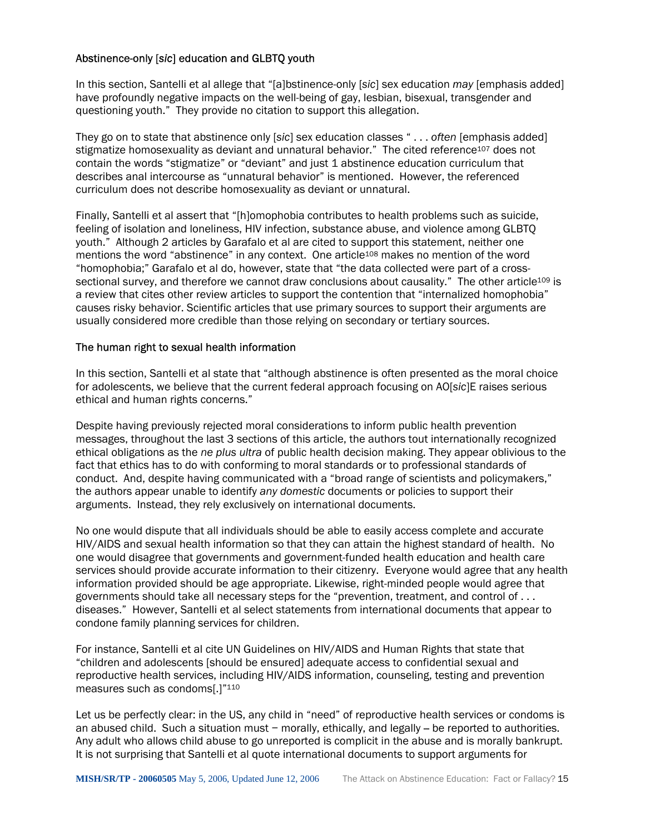## Abstinence-only [*sic*] education and GLBTQ youth

In this section, Santelli et al allege that "[a]bstinence-only [*sic*] sex education *may* [emphasis added] have profoundly negative impacts on the well-being of gay, lesbian, bisexual, transgender and questioning youth." They provide no citation to support this allegation.

They go on to state that abstinence only [*sic*] sex education classes " . . . *often* [emphasis added] stigmatize homosexuality as deviant and unnatural behavior." The cited reference<sup>107</sup> does not contain the words "stigmatize" or "deviant" and just 1 abstinence education curriculum that describes anal intercourse as "unnatural behavior" is mentioned. However, the referenced curriculum does not describe homosexuality as deviant or unnatural.

Finally, Santelli et al assert that "[h]omophobia contributes to health problems such as suicide, feeling of isolation and loneliness, HIV infection, substance abuse, and violence among GLBTQ youth." Although 2 articles by Garafalo et al are cited to support this statement, neither one mentions the word "abstinence" in any context. One article<sup>108</sup> makes no mention of the word "homophobia;" Garafalo et al do, however, state that "the data collected were part of a crosssectional survey, and therefore we cannot draw conclusions about causality." The other article<sup>109</sup> is a review that cites other review articles to support the contention that "internalized homophobia" causes risky behavior. Scientific articles that use primary sources to support their arguments are usually considered more credible than those relying on secondary or tertiary sources.

#### The human right to sexual health information

In this section, Santelli et al state that "although abstinence is often presented as the moral choice for adolescents, we believe that the current federal approach focusing on AO[*sic*]E raises serious ethical and human rights concerns."

Despite having previously rejected moral considerations to inform public health prevention messages, throughout the last 3 sections of this article, the authors tout internationally recognized ethical obligations as the *ne plus ultra* of public health decision making. They appear oblivious to the fact that ethics has to do with conforming to moral standards or to professional standards of conduct. And, despite having communicated with a "broad range of scientists and policymakers," the authors appear unable to identify *any domestic* documents or policies to support their arguments. Instead, they rely exclusively on international documents.

No one would dispute that all individuals should be able to easily access complete and accurate HIV/AIDS and sexual health information so that they can attain the highest standard of health. No one would disagree that governments and government-funded health education and health care services should provide accurate information to their citizenry. Everyone would agree that any health information provided should be age appropriate. Likewise, right-minded people would agree that governments should take all necessary steps for the "prevention, treatment, and control of . . . diseases." However, Santelli et al select statements from international documents that appear to condone family planning services for children.

For instance, Santelli et al cite UN Guidelines on HIV/AIDS and Human Rights that state that "children and adolescents [should be ensured] adequate access to confidential sexual and reproductive health services, including HIV/AIDS information, counseling, testing and prevention measures such as condoms[.]["110](#page-23-83) 

Let us be perfectly clear: in the US, any child in "need" of reproductive health services or condoms is an abused child. Such a situation must − morally, ethically, and legally – be reported to authorities. Any adult who allows child abuse to go unreported is complicit in the abuse and is morally bankrupt. It is not surprising that Santelli et al quote international documents to support arguments for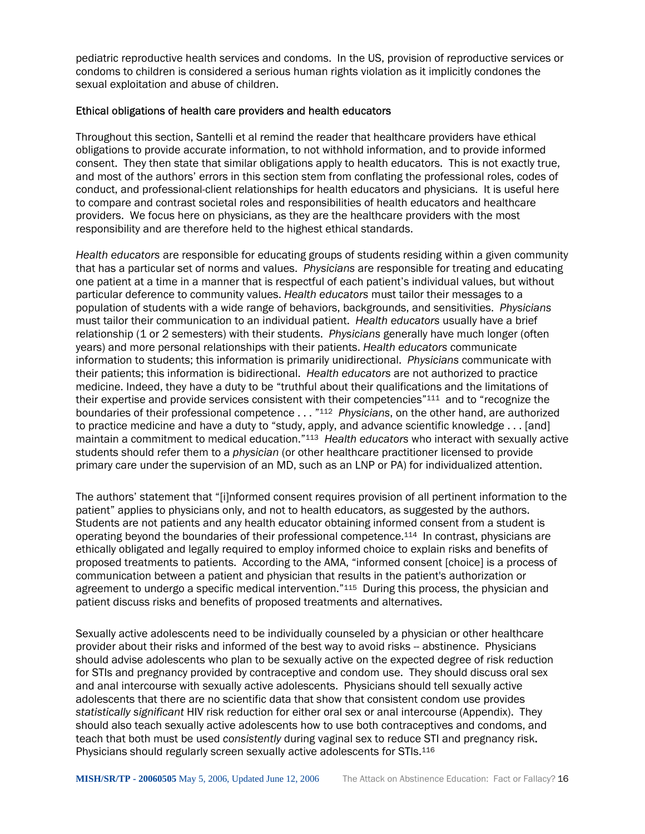pediatric reproductive health services and condoms. In the US, provision of reproductive services or condoms to children is considered a serious human rights violation as it implicitly condones the sexual exploitation and abuse of children.

#### Ethical obligations of health care providers and health educators

Throughout this section, Santelli et al remind the reader that healthcare providers have ethical obligations to provide accurate information, to not withhold information, and to provide informed consent. They then state that similar obligations apply to health educators. This is not exactly true, and most of the authors' errors in this section stem from conflating the professional roles, codes of conduct, and professional-client relationships for health educators and physicians. It is useful here to compare and contrast societal roles and responsibilities of health educators and healthcare providers. We focus here on physicians, as they are the healthcare providers with the most responsibility and are therefore held to the highest ethical standards.

*Health educators* are responsible for educating groups of students residing within a given community that has a particular set of norms and values. *Physicians* are responsible for treating and educating one patient at a time in a manner that is respectful of each patient's individual values, but without particular deference to community values. *Health educators* must tailor their messages to a population of students with a wide range of behaviors, backgrounds, and sensitivities. *Physicians* must tailor their communication to an individual patient. *Health educators* usually have a brief relationship (1 or 2 semesters) with their students. *Physicians* generally have much longer (often years) and more personal relationships with their patients. *Health educators* communicate information to students; this information is primarily unidirectional. *Physicians* communicate with their patients; this information is bidirectional. *Health educators* are not authorized to practice medicine. Indeed, they have a duty to be "truthful about their qualifications and the limitations of their expertise and provide services consistent with their competencies["111](#page-23-84) and to "recognize the boundaries of their professional competence . . . "[112](#page-23-85) *Physicians*, on the other hand, are authorized to practice medicine and have a duty to "study, apply, and advance scientific knowledge . . . [and] maintain a commitment to medical education.["113](#page-23-86) *Health educators* who interact with sexually active students should refer them to a *physician* (or other healthcare practitioner licensed to provide primary care under the supervision of an MD, such as an LNP or PA) for individualized attention.

The authors' statement that "[i]nformed consent requires provision of all pertinent information to the patient" applies to physicians only, and not to health educators, as suggested by the authors. Students are not patients and any health educator obtaining informed consent from a student is operating beyond the boundaries of their professional competence.[114](#page-23-87) In contrast, physicians are ethically obligated and legally required to employ informed choice to explain risks and benefits of proposed treatments to patients. According to the AMA, "informed consent [choice] is a process of communication between a patient and physician that results in the patient's authorization or agreement to undergo a specific medical intervention."[115](#page-23-88) During this process, the physician and patient discuss risks and benefits of proposed treatments and alternatives.

Sexually active adolescents need to be individually counseled by a physician or other healthcare provider about their risks and informed of the best way to avoid risks -- abstinence. Physicians should advise adolescents who plan to be sexually active on the expected degree of risk reduction for STIs and pregnancy provided by contraceptive and condom use. They should discuss oral sex and anal intercourse with sexually active adolescents. Physicians should tell sexually active adolescents that there are no scientific data that show that consistent condom use provides *statistically significant* HIV risk reduction for either oral sex or anal intercourse (Appendix). They should also teach sexually active adolescents how to use both contraceptives and condoms, and teach that both must be used *consistently* during vaginal sex to reduce STI and pregnancy risk. Physicians should regularly screen sexually active adolescents for STIs.[116](#page-23-89)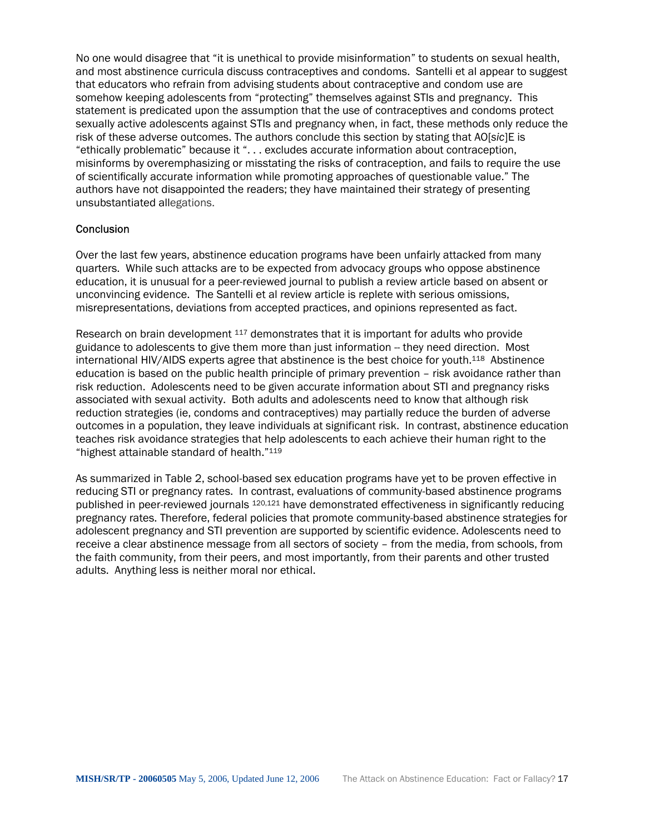No one would disagree that "it is unethical to provide misinformation" to students on sexual health, and most abstinence curricula discuss contraceptives and condoms. Santelli et al appear to suggest that educators who refrain from advising students about contraceptive and condom use are somehow keeping adolescents from "protecting" themselves against STIs and pregnancy. This statement is predicated upon the assumption that the use of contraceptives and condoms protect sexually active adolescents against STIs and pregnancy when, in fact, these methods only reduce the risk of these adverse outcomes. The authors conclude this section by stating that AO[*sic*]E is "ethically problematic" because it ". . . excludes accurate information about contraception, misinforms by overemphasizing or misstating the risks of contraception, and fails to require the use of scientifically accurate information while promoting approaches of questionable value." The authors have not disappointed the readers; they have maintained their strategy of presenting unsubstantiated allegations.

#### **Conclusion**

Over the last few years, abstinence education programs have been unfairly attacked from many quarters. While such attacks are to be expected from advocacy groups who oppose abstinence education, it is unusual for a peer-reviewed journal to publish a review article based on absent or unconvincing evidence. The Santelli et al review article is replete with serious omissions, misrepresentations, deviations from accepted practices, and opinions represented as fact.

Research on brain development [117](#page-23-90) demonstrates that it is important for adults who provide guidance to adolescents to give them more than just information -- they need direction. Most international HIV/AIDS experts agree that abstinence is the best choice for youth.[118](#page-23-91) Abstinence education is based on the public health principle of primary prevention – risk avoidance rather than risk reduction. Adolescents need to be given accurate information about STI and pregnancy risks associated with sexual activity. Both adults and adolescents need to know that although risk reduction strategies (ie, condoms and contraceptives) may partially reduce the burden of adverse outcomes in a population, they leave individuals at significant risk. In contrast, abstinence education teaches risk avoidance strategies that help adolescents to each achieve their human right to the "highest attainable standard of health."[119](#page-23-92) 

As summarized in Table 2, school-based sex education programs have yet to be proven effective in reducing STI or pregnancy rates. In contrast, evaluations of community-based abstinence programs published in peer-reviewed journals [120,](#page-23-93)[121](#page-23-94) have demonstrated effectiveness in significantly reducing pregnancy rates. Therefore, federal policies that promote community-based abstinence strategies for adolescent pregnancy and STI prevention are supported by scientific evidence. Adolescents need to receive a clear abstinence message from all sectors of society – from the media, from schools, from the faith community, from their peers, and most importantly, from their parents and other trusted adults. Anything less is neither moral nor ethical.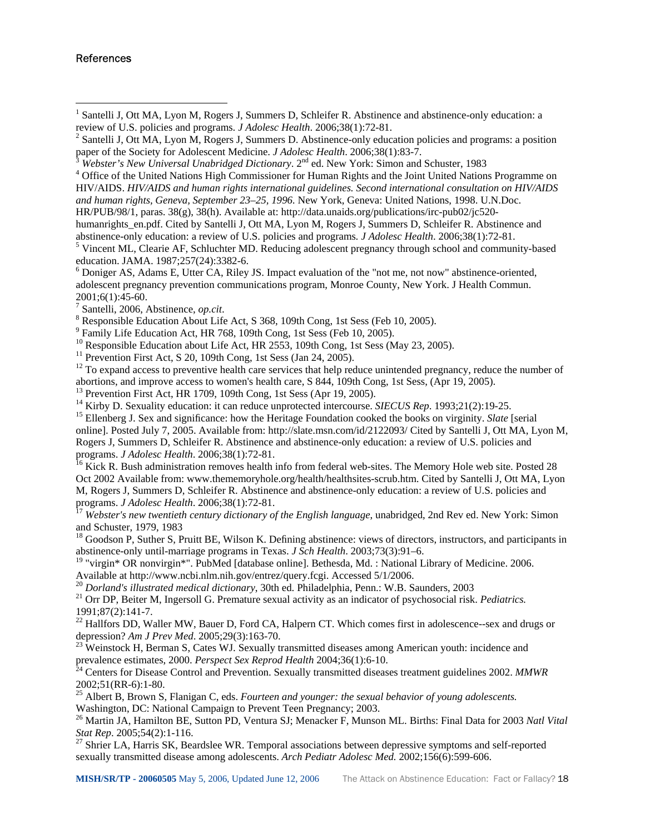#### References

 $\overline{a}$ 

<sup>1</sup> Santelli J, Ott MA, Lyon M, Rogers J, Summers D, Schleifer R. Abstinence and abstinence-only education: a review of U.S. policies and programs. *J Adolesc Health*. 2006;38(1):72-81. 2

<sup>2</sup> Santelli J, Ott MA, Lyon M, Rogers J, Summers D. Abstinence-only education policies and programs: a position paper of the Society for Adolescent Medicine. *J Adolesc Health.* 2006;38(1):83-7.

<sup>4</sup> Office of the United Nations High Commissioner for Human Rights and the Joint United Nations Programme on HIV/AIDS. *HIV/AIDS and human rights international guidelines. Second international consultation on HIV/AIDS and human rights, Geneva, September 23–25, 1996.* New York, Geneva: United Nations, 1998. U.N.Doc.

HR/PUB/98/1, paras. 38(g), 38(h). Available at: http://data.unaids.org/publications/irc-pub02/jc520-

humanrights\_en.pdf. Cited by Santelli J, Ott MA, Lyon M, Rogers J, Summers D, Schleifer R. Abstinence and abstinence-only education: a review of U.S. policies and programs*. J Adolesc Health*. 2006;38(1):72-81. 5

<sup>5</sup> Vincent ML, Clearie AF, Schluchter MD. Reducing adolescent pregnancy through school and community-based education. JAMA. 1987;257(24):3382-6.

<sup>6</sup> Doniger AS, Adams E, Utter CA, Riley JS. Impact evaluation of the "not me, not now" abstinence-oriented, adolescent pregnancy prevention communications program, Monroe County, New York. J Health Commun. 2001;6(1):45-60.

<sup>7</sup> Santelli, 2006, Abstinence, *op.cit.*<br><sup>8</sup> Perponsible Education About Life

<sup>8</sup> Responsible Education About Life Act, S 368, 109th Cong, 1st Sess (Feb 10, 2005).

- <sup>9</sup> Family Life Education Act, HR 768, 109th Cong, 1st Sess (Feb 10, 2005).
- $^{10}$  Responsible Education about Life Act, HR 2553, 109th Cong, 1st Sess (May 23, 2005).

<sup>11</sup> Prevention First Act, S 20, 109th Cong, 1st Sess (Jan 24, 2005).

 $12$  To expand access to preventive health care services that help reduce unintended pregnancy, reduce the number of abortions, and improve access to women's health care, S 844, 109th Cong, 1st Sess, (Apr 19, 2005).<br><sup>13</sup> Prevention First Act, HR 1709, 109th Cong, 1st Sess (Apr 19, 2005).<br><sup>14</sup> Kirby D. Sexuality education: it can reduce u

<sup>15</sup> Ellenberg J. Sex and significance: how the Heritage Foundation cooked the books on virginity. Slate [serial] online]. Posted July 7, 2005. Available from: http://slate.msn.com/id/2122093/ Cited by Santelli J, Ott MA, Lyon M, Rogers J, Summers D, Schleifer R. Abstinence and abstinence-only education: a review of U.S. policies and programs. *J Adolesc Health.* 2006;38(1):72-81.

<sup>16</sup> Kick R. Bush administration removes health info from federal web-sites. The Memory Hole web site. Posted 28 Oct 2002 Available from: www.thememoryhole.org/health/healthsites-scrub.htm. Cited by Santelli J, Ott MA, Lyon M, Rogers J, Summers D, Schleifer R. Abstinence and abstinence-only education: a review of U.S. policies and programs. *J Adolesc Health.* 2006;38(1):72-81.<br><sup>17</sup> *Webster's new twentieth century dictionary of the English language*, unabridged, 2nd Rev ed. New York: Simon

and Schuster, 1979, 1983

<sup>18</sup> Goodson P, Suther S, Pruitt BE, Wilson K. Defining abstinence: views of directors, instructors, and participants in abstinence-only until-marriage programs in Texas. *J Sch Health*. 2003;73(3):91–6.

<sup>19</sup> "virgin\* OR nonvirgin\*". PubMed [database online]. Bethesda, Md. : National Library of Medicine. 2006. Available at http://www.ncbi.nlm.nih.gov/entrez/query.fcgi. Accessed 5/1/2006.<br><sup>20</sup> Dorland's illustrated medical dictionary, 30th ed. Philadelphia, Penn.: W.B. Saunders, 2003

<sup>21</sup> Orr DP, Beiter M, Ingersoll G. Premature sexual activity as an indicator of psychosocial risk. *Pediatrics*. 1991;87(2):141-7.

<sup>22</sup> Hallfors DD, Waller MW, Bauer D, Ford CA, Halpern CT. Which comes first in adolescence--sex and drugs or

depression? *Am J Prev Med.* 2005;29(3):163-70.<br><sup>23</sup> Weinstock H, Berman S, Cates WJ. Sexually transmitted diseases among American youth: incidence and prevalence estimates, 2000. *Perspect Sex Reprod Health* 2004;36(1):6-10. <sup>24</sup> Centers for Disease Control and Prevention. Sexually transmitted diseases treatment guidelines 2002. *MMWR* 

2002;51(RR-6):1-80.

25 Albert B, Brown S, Flanigan C, eds. *Fourteen and younger: the sexual behavior of young adolescents.* Washington, DC: National Campaign to Prevent Teen Pregnancy; 2003.

26 Martin JA, Hamilton BE, Sutton PD, Ventura SJ; Menacker F, Munson ML. Births: Final Data for 2003 *Natl Vital Stat Rep.* 2005;54(2):1-116.<br><sup>27</sup> Shrier LA, Harris SK, Beardslee WR. Temporal associations between depressive symptoms and self-reported

sexually transmitted disease among adolescents. *Arch Pediatr Adolesc Med.* 2002;156(6):599-606.

<sup>&</sup>lt;sup>3</sup> Webster's New Universal Unabridged Dictionary. 2<sup>nd</sup> ed. New York: Simon and Schuster, 1983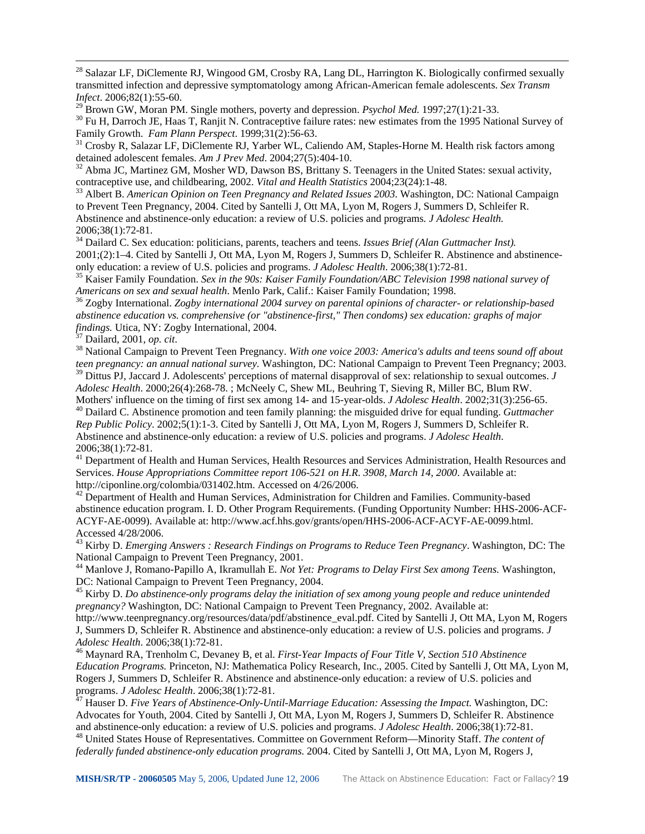<sup>28</sup> Salazar LF, DiClemente RJ, Wingood GM, Crosby RA, Lang DL, Harrington K. Biologically confirmed sexually transmitted infection and depressive symptomatology among African-American female adolescents. *Sex Transm Infect*. 2006;82(1):55-60.<br><sup>29</sup> Brown GW, Moran PM. Single mothers, poverty and depression. *Psychol Med.* 1997;27(1):21-33.

<sup>30</sup> Fu H, Darroch JE, Haas T, Ranjit N. Contraceptive failure rates: new estimates from the 1995 National Survey of Family Growth. *Fam Plann Perspect*. 1999;31(2):56-63.

<sup>31</sup> Crosby R, Salazar LF, DiClemente RJ, Yarber WL, Caliendo AM, Staples-Horne M. Health risk factors among detained adolescent females. *Am J Prev Med.* 2004;27(5):404-10.

<sup>32</sup> Abma JC, Martinez GM, Mosher WD, Dawson BS, Brittany S. Teenagers in the United States: sexual activity, contraceptive use, and childbearing, 2002. *Vital and Health Statistics* 2004;23(24):1-48. 33 Albert B. *American Opinion on Teen Pregnancy and Related Issues 2003*. Washington, DC: National Campaign

to Prevent Teen Pregnancy, 2004. Cited by Santelli J, Ott MA, Lyon M, Rogers J, Summers D, Schleifer R. Abstinence and abstinence-only education: a review of U.S. policies and programs*. J Adolesc Health.* 2006;38(1):72-81.

<sup>34</sup> Dailard C. Sex education: politicians, parents, teachers and teens. *Issues Brief (Alan Guttmacher Inst)*. 2001;(2):1–4. Cited by Santelli J, Ott MA, Lyon M, Rogers J, Summers D, Schleifer R. Abstinence and abstinence-<br>only education: a review of U.S. policies and programs. *J Adolesc Health.* 2006;38(1):72-81.

<sup>35</sup> Kaiser Family Foundation. *Sex in the 90s: Kaiser Family Foundation/ABC Television 1998 national survey of Americans on sex and sexual health. Menlo Park, Calif.: Kaiser Family Foundation; 1998.* 

*Americans on sex and sexual health*. Menlo Park, Calif.: Kaiser Family Foundation; 1998. 36 Zogby International. *Zogby international 2004 survey on parental opinions of character- or relationship-based abstinence education vs. comprehensive (or "abstinence-first," Then condoms) sex education: graphs of major findings.* Utica, NY: Zogby International, 2004.<br><sup>37</sup> Dailard, 2001, *op. cit.* 

 $\overline{a}$ 

<sup>38</sup> National Campaign to Prevent Teen Pregnancy. *With one voice 2003: America's adults and teens sound off about teen pregnancy: an annual national survey.* Washington, DC: National Campaign to Prevent Teen Pregnancy; 2003. 39 Dittus PJ, Jaccard J. Adolescents' perceptions of maternal disapproval of sex: relationship to sexual outcomes. *J Adolesc Health*. 2000;26(4):268-78. ; McNeely C, Shew ML, Beuhring T, Sieving R, Miller BC, Blum RW.

<sup>40</sup> Dailard C. Abstinence promotion and teen family planning: the misguided drive for equal funding. Guttmacher *Rep Public Policy*. 2002;5(1):1-3. Cited by Santelli J, Ott MA, Lyon M, Rogers J, Summers D, Schleifer R. Abstinence and abstinence-only education: a review of U.S. policies and programs. *J Adolesc Health*. 2006;38(1):72-81.

<sup>41</sup> Department of Health and Human Services, Health Resources and Services Administration, Health Resources and Services. *House Appropriations Committee report 106-521 on H.R. 3908, March 14, 2000*. Available at: http://ciponline.org/colombia/031402.htm. Accessed on 4/26/2006.<br><sup>42</sup> Department of Health and Human Services, Administration for Children and Families. Community-based

abstinence education program. I. D. Other Program Requirements. (Funding Opportunity Number: HHS-2006-ACF-ACYF-AE-0099). Available at: http://www.acf.hhs.gov/grants/open/HHS-2006-ACF-ACYF-AE-0099.html. Accessed 4/28/2006.

43 Kirby D. *Emerging Answers : Research Findings on Programs to Reduce Teen Pregnancy*. Washington, DC: The National Campaign to Prevent Teen Pregnancy, 2001.

44 Manlove J, Romano-Papillo A, Ikramullah E. *Not Yet: Programs to Delay First Sex among Teens.* Washington, DC: National Campaign to Prevent Teen Pregnancy, 2004.

45 Kirby D. *Do abstinence-only programs delay the initiation of sex among young people and reduce unintended pregnancy?* Washington, DC: National Campaign to Prevent Teen Pregnancy, 2002. Available at:

http://www.teenpregnancy.org/resources/data/pdf/abstinence\_eval.pdf. Cited by Santelli J, Ott MA, Lyon M, Rogers J, Summers D, Schleifer R. Abstinence and abstinence-only education: a review of U.S. policies and programs. *J Adolesc Health*. 2006;38(1):72-81. 46 Maynard RA, Trenholm C, Devaney B, et al. *First-Year Impacts of Four Title V, Section 510 Abstinence* 

*Education Programs.* Princeton, NJ: Mathematica Policy Research, Inc., 2005. Cited by Santelli J, Ott MA, Lyon M, Rogers J, Summers D, Schleifer R. Abstinence and abstinence-only education: a review of U.S. policies and programs. *J Adolesc Health.* 2006;38(1):72-81.

<sup>7</sup> Hauser D. *Five Years of Abstinence-Only-Until-Marriage Education: Assessing the Impact*. Washington, DC: Advocates for Youth, 2004. Cited by Santelli J, Ott MA, Lyon M, Rogers J, Summers D, Schleifer R. Abstinence

and abstinence-only education: a review of U.S. policies and programs. J Adolesc Health. 2006;38(1):72-81.<br><sup>48</sup> United States House of Representatives. Committee on Government Reform—Minority Staff. The content of *federally funded abstinence-only education programs*. 2004. Cited by Santelli J, Ott MA, Lyon M, Rogers J,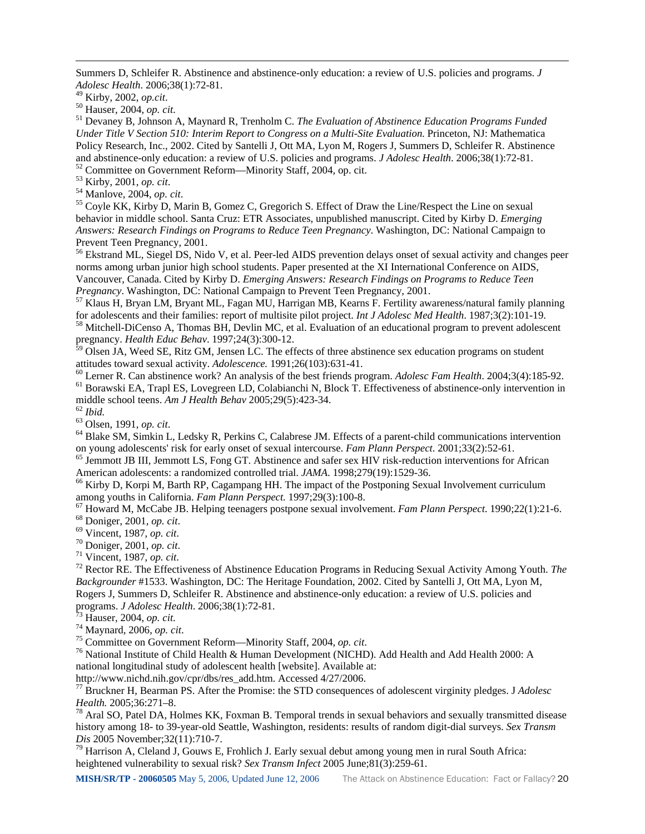Summers D, Schleifer R. Abstinence and abstinence-only education: a review of U.S. policies and programs. *J Adolesc Health*. 2006;38(1):72-81.

 $\overline{a}$ 

<sup>50</sup> Hauser, 2004, *op. cit. Cop. cit.* 51 Devancy B, Johnson A, Maynard R, Trenholm C. *The Evaluation of Abstinence Education Programs Funded Under Title V Section 510: Interim Report to Congress on a Multi-Site Evaluation*. Princeton, NJ: Mathematica Policy Research, Inc., 2002. Cited by Santelli J, Ott MA, Lyon M, Rogers J, Summers D, Schleifer R. Abstinence and abstinence-only education: a review of U.S. policies and programs. *J Adolesc Health*. 2006;38(1):72-81.<br><sup>52</sup> Committee on Government Reform—Minority Staff, 2004, op. cit.<br><sup>53</sup> Kirby, 2001, *op. cit.* 

<sup>54</sup> Manlove, 2004, *op. cit.* 54 Manlove, 2004, *op. cit.* 55 Coyle KK, Kirby D, Marin B, Gomez C, Gregorich S. Effect of Draw the Line/Respect the Line on sexual behavior in middle school. Santa Cruz: ETR Associates, unpublished manuscript. Cited by Kirby D. *Emerging Answers: Research Findings on Programs to Reduce Teen Pregnancy*. Washington, DC: National Campaign to Prevent Teen Pregnancy, 2001.

<sup>56</sup> Ekstrand ML, Siegel DS, Nido V, et al. Peer-led AIDS prevention delays onset of sexual activity and changes peer norms among urban junior high school students. Paper presented at the XI International Conference on AIDS, Vancouver, Canada. Cited by Kirby D. *Emerging Answers: Research Findings on Programs to Reduce Teen* 

<sup>57</sup> Klaus H, Bryan LM, Bryant ML, Fagan MU, Harrigan MB, Kearns F. Fertility awareness/natural family planning for adolescents and their families: report of multisite pilot project. *Int J Adolesc Med Health*. 1987;3(2):1

<sup>58</sup> Mitchell-DiCenso A, Thomas BH, Devlin MC, et al. Evaluation of an educational program to prevent adolescent pregnancy. *Health Educ Behav*. 1997;24(3):300-12.

<sup>59</sup> Olsen JA, Weed SE, Ritz GM, Jensen LC. The effects of three abstinence sex education programs on student

attitudes toward sexual activity. Adolescence. 1991;26(103):631-41.<br><sup>60</sup> Lerner R. Can abstinence work? An analysis of the best friends program. Adolesc Fam Health. 2004;3(4):185-92.<br><sup>61</sup> Borawski EA, Trapl ES, Lovegreen

<sup>62</sup> *Ibid.*<br><sup>63</sup> Olsen, 1991, *op. cit. Colsky R, Perkins C, Calabrese JM. Effects of a parent-child communications intervention*<br>64 Blake SM, Simkin L, Ledsky R, Perkins C, Calabrese JM. Effects of a parent-child commu

<sup>65</sup> Jemmott JB III, Jemmott LS, Fong GT. Abstinence and safer sex HIV risk-reduction interventions for African American adolescents: a randomized controlled trial. *JAMA*. 1998;279(19):1529-36.<br><sup>66</sup> Kirby D, Korpi M, Barth RP, Cagampang HH. The impact of the Postponing Sexual Involvement curriculum

among youths in California. Fam Plann Perspect. 1997;29(3):100-8.<br>
<sup>67</sup> Howard M, McCabe JB. Helping teenagers postpone sexual involvement. Fam Plann Perspect. 1990;22(1):21-6.<br>
<sup>68</sup> Doniger, 2001, *op. cit.*<br>
<sup>70</sup> Donige

*Backgrounder* #1533. Washington, DC: The Heritage Foundation, 2002. Cited by Santelli J, Ott MA, Lyon M, Rogers J, Summers D, Schleifer R. Abstinence and abstinence-only education: a review of U.S. policies and programs. *J Adolesc Health.* 2006;38(1):72-81.

<sup>73</sup> Hauser, 2004, *op. cit.*<br><sup>74</sup> Maynard, 2006, *op. cit.*<br><sup>75</sup> Committee on Government Reform—Minority Staff, 2004, *op. cit.*<br><sup>75</sup> National Institute of Child Health & Human Development (NICHD). Add Health and Add Hea national longitudinal study of adolescent health [website]. Available at:

http://www.nichd.nih.gov/cpr/dbs/res\_add.htm. Accessed 4/27/2006. 77 Bruckner H, Bearman PS. After the Promise: the STD consequences of adolescent virginity pledges. J *Adolesc Health.* 2005;36:271–8.<br><sup>78</sup> Aral SO, Patel DA, Holmes KK, Foxman B. Temporal trends in sexual behaviors and sexually transmitted disease

history among 18- to 39-year-old Seattle, Washington, residents: results of random digit-dial surveys. *Sex Transm Dis* 2005 November;32(11):710-7.<br><sup>79</sup> Harrison A, Cleland J, Gouws E, Frohlich J. Early sexual debut among young men in rural South Africa:

heightened vulnerability to sexual risk? *Sex Transm Infect* 2005 June;81(3):259-61.

**MISH/SR/TP - 20060505** May 5, 2006, Updated June 12, 2006 The Attack on Abstinence Education: Fact or Fallacy? 20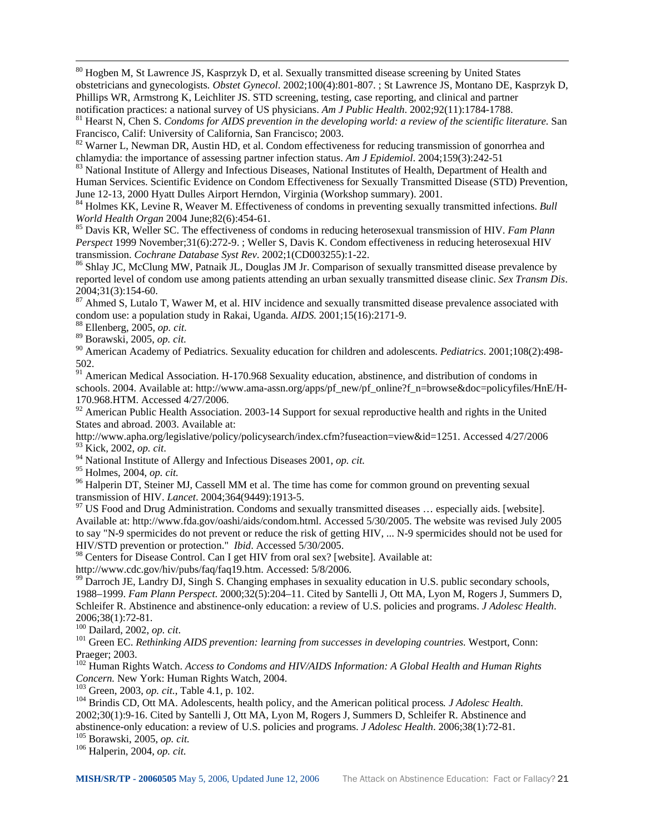<sup>80</sup> Hogben M, St Lawrence JS, Kasprzyk D, et al. Sexually transmitted disease screening by United States obstetricians and gynecologists*. Obstet Gynecol*. 2002;100(4):801-807. ; St Lawrence JS, Montano DE, Kasprzyk D, Phillips WR, Armstrong K, Leichliter JS. STD screening, testing, case reporting, and clinical and partner notification practices: a national survey of US physicians. Am J Public Health. 2002;92(11):1784-1788.

 $81$  Hearst N, Chen S. Condoms for AIDS prevention in the developing world: a review of the scientific literature. San Francisco, Calif: University of California, San Francisco; 2003.

<sup>82</sup> Warner L, Newman DR, Austin HD, et al. Condom effectiveness for reducing transmission of gonorrhea and chlamydia: the importance of assessing partner infection status. Am J Epidemiol. 2004;159(3):242-51

<sup>83</sup> National Institute of Allergy and Infectious Diseases, National Institutes of Health, Department of Health and Human Services. Scientific Evidence on Condom Effectiveness for Sexually Transmitted Disease (STD) Prevention, June 12-13, 2000 Hyatt Dulles Airport Herndon, Virginia (Workshop summary). 2001.

84 Holmes KK, Levine R, Weaver M. Effectiveness of condoms in preventing sexually transmitted infections. *Bull World Health Organ* 2004 June;82(6):454-61.<br><sup>85</sup> Davis KR, Weller SC. The effectiveness of condoms in reducing heterosexual transmission of HIV. *Fam Plann* 

*Perspect* 1999 November;31(6):272-9. ; Weller S, Davis K. Condom effectiveness in reducing heterosexual HIV transmission. *Cochrane Database Syst Rev.* 2002;1(CD003255):1-22.

<sup>86</sup> Shlay JC, McClung MW, Patnaik JL, Douglas JM Jr. Comparison of sexually transmitted disease prevalence by reported level of condom use among patients attending an urban sexually transmitted disease clinic. *Sex Transm Dis*. 2004;31(3):154-60.

<sup>87</sup> Ahmed S, Lutalo T, Wawer M, et al. HIV incidence and sexually transmitted disease prevalence associated with condom use: a population study in Rakai, Uganda.  $AIDS$ . 2001;15(16):2171-9.

 $\overline{a}$ 

<sup>88</sup> Ellenberg, 2005, *op. cit.*<br><sup>89</sup> Borawski, 2005, *op. cit.*<br><sup>90</sup> American Academy of Pediatrics. Sexuality education for children and adolescents. *Pediatrics*. 2001;108(2):498-502.

<sup>91</sup> American Medical Association. H-170.968 Sexuality education, abstinence, and distribution of condoms in schools. 2004. Available at: http://www.ama-assn.org/apps/pf\_new/pf\_online?f\_n=browse&doc=policyfiles/HnE/H-170.968.HTM. Accessed 4/27/2006.

<sup>92</sup> American Public Health Association. 2003-14 Support for sexual reproductive health and rights in the United States and abroad. 2003. Available at:

http://www.apha.org/legislative/policy/policysearch/index.cfm?fuseaction=view&id=1251. Accessed 4/27/2006

<sup>94</sup> National Institute of Allergy and Infectious Diseases 2001, *op. cit.* <sup>95</sup> Holmes, 2004, *op. cit.* 

<sup>96</sup> Halperin DT, Steiner MJ, Cassell MM et al. The time has come for common ground on preventing sexual transmission of HIV. *Lancet*. 2004;364(9449):1913-5.<br><sup>97</sup> US Food and Drug Administration. Condoms and sexually transmitted diseases ... especially aids. [website].

Available at: http://www.fda.gov/oashi/aids/condom.html. Accessed 5/30/2005. The website was revised July 2005 to say "N-9 spermicides do not prevent or reduce the risk of getting HIV, ... N-9 spermicides should not be used for HIV/STD prevention or protection." *Ibid*. Accessed 5/30/2005.

98 Centers for Disease Control. Can I get HIV from oral sex? [website]. Available at:

http://www.cdc.gov/hiv/pubs/faq/faq19.htm. Accessed: 5/8/2006.

99 Darroch JE, Landry DJ, Singh S. Changing emphases in sexuality education in U.S. public secondary schools, 1988–1999. *Fam Plann Perspect*. 2000;32(5):204–11. Cited by Santelli J, Ott MA, Lyon M, Rogers J, Summers D, Schleifer R. Abstinence and abstinence-only education: a review of U.S. policies and programs. *J Adolesc Health*. 2006;38(1):72-81.<br><sup>100</sup> Dailard, 2002, op. cit.

<sup>101</sup> Green EC. *Rethinking AIDS prevention: learning from successes in developing countries.* Westport, Conn: Praeger; 2003.

<sup>102</sup> Human Rights Watch. *Access to Condoms and HIV/AIDS Information: A Global Health and Human Rights Concern. New York: Human Rights Watch, 2004.<br>
<sup>103</sup> Green, 2003, <i>op. cit.*, Table 4.1, p. 102.

<sup>104</sup> Brindis CD, Ott MA. Adolescents, health policy, and the American political process. *J Adolesc Health*. 2002;30(1):9-16. Cited by Santelli J, Ott MA, Lyon M, Rogers J, Summers D, Schleifer R. Abstinence and abstinence-only education: a review of U.S. policies and programs. *J Adolesc Health*. 2006;38(1):72-81. 105 Borawski, 2005, *op. cit.* 106 Halperin, 2004, *op. cit*.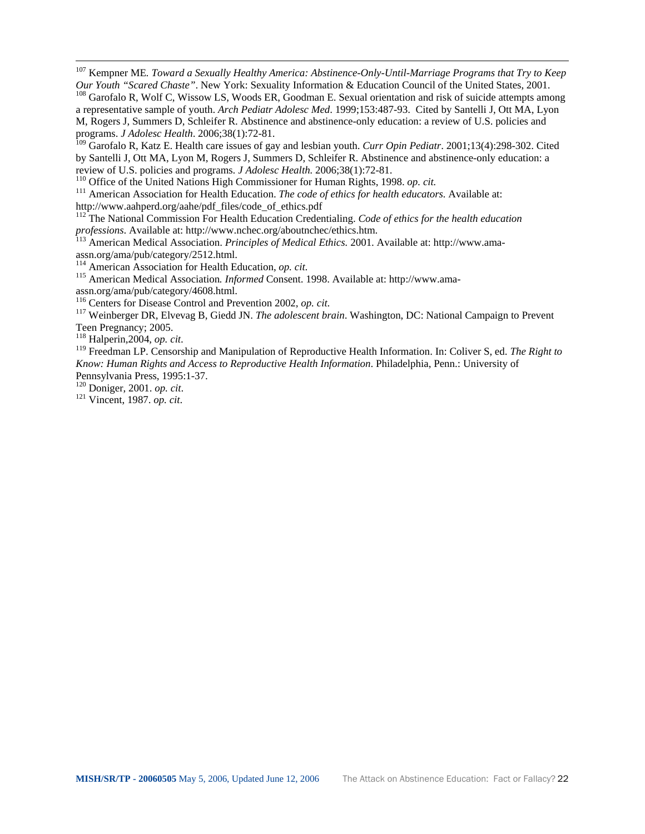<span id="page-23-80"></span><span id="page-23-27"></span>107 Kempner ME*. Toward a Sexually Healthy America: Abstinence-Only-Until-Marriage Programs that Try to Keep Our Youth "Scared Chaste"*. New York: Sexuality Information & Education Council of the United States, 2001.<br><sup>108</sup> Garofalo R, Wolf C, Wissow LS, Woods ER, Goodman E. Sexual orientation and risk of suicide attempts among

<span id="page-23-81"></span><span id="page-23-48"></span><span id="page-23-29"></span><span id="page-23-28"></span><span id="page-23-0"></span>a representative sample of youth. *Arch Pediatr Adolesc Med*. 1999;153:487-93. Cited by Santelli J, Ott MA, Lyon M, Rogers J, Summers D, Schleifer R. Abstinence and abstinence-only education: a review of U.S. policies and programs. *J Adolesc Health*. 2006;38(1):72-81.

<span id="page-23-82"></span><span id="page-23-30"></span><span id="page-23-2"></span><span id="page-23-1"></span><sup>109</sup> Garofalo R, Katz E. Health care issues of gay and lesbian youth. *Curr Opin Pediatr*. 2001;13(4):298-302. Cited by Santelli J, Ott MA, Lyon M, Rogers J, Summers D, Schleifer R. Abstinence and abstinence-only education: a review of U.S. policies and programs. *J Adolesc Health.* 2006;38(1):72-81.

<span id="page-23-84"></span><span id="page-23-83"></span><span id="page-23-49"></span><span id="page-23-32"></span><span id="page-23-31"></span><span id="page-23-3"></span>

<sup>110</sup> Office of the United Nations High Commissioner for Human Rights, 1998. op. cit.<br><sup>111</sup> American Association for Health Education. *The code of ethics for health educators*. Available at: http://www.aahperd.org/aahe/pdf\_files/code\_of\_ethics.pdf

<span id="page-23-85"></span><span id="page-23-67"></span><span id="page-23-50"></span>112 The National Commission For Health Education Credentialing. *Code of ethics for the health education professions*. Available at: http://www.nchec.org/aboutnchec/ethics.htm. 113 American Medical Association. *Principles of Medical Ethics.* 2001. Available at: http://www.ama-

<span id="page-23-86"></span><span id="page-23-51"></span><span id="page-23-33"></span><span id="page-23-4"></span>assn.org/ama/pub/category/2512.html.<br><sup>114</sup> American Association for Health Education, *op. cit.* 

<span id="page-23-87"></span><span id="page-23-68"></span><span id="page-23-5"></span>

<span id="page-23-88"></span><span id="page-23-34"></span><sup>115</sup> American Medical Association. *Informed Consent.* 1998. Available at: http://www.amaassn.org/ama/pub/category/4608.html.<br><sup>116</sup> Centers for Disease Control and Prevention 2002, op. cit.

<span id="page-23-89"></span><span id="page-23-35"></span><span id="page-23-6"></span>

<span id="page-23-90"></span><span id="page-23-7"></span><sup>117</sup> Weinberger DR, Elvevag B, Giedd JN. *The adolescent brain*. Washington, DC: National Campaign to Prevent Teen Pregnancy; 2005.<br><sup>118</sup> Halperin, 2004, op. cit.

<span id="page-23-91"></span><span id="page-23-52"></span><span id="page-23-36"></span><span id="page-23-9"></span><span id="page-23-8"></span>

 $\overline{a}$ 

<span id="page-23-92"></span><span id="page-23-37"></span><span id="page-23-11"></span><span id="page-23-10"></span><sup>119</sup> Freedman LP. Censorship and Manipulation of Reproductive Health Information. In: Coliver S, ed. *The Right to Know: Human Rights and Access to Reproductive Health Information*. Philadelphia, Penn.: University of Pennsylvania Press, 1995:1-37.

<span id="page-23-93"></span><span id="page-23-53"></span><span id="page-23-38"></span>120 Doniger, 2001. *op. cit*. 121 Vincent, 1987. *op. cit*.

<span id="page-23-94"></span><span id="page-23-79"></span><span id="page-23-78"></span><span id="page-23-77"></span><span id="page-23-76"></span><span id="page-23-75"></span><span id="page-23-74"></span><span id="page-23-73"></span><span id="page-23-72"></span><span id="page-23-71"></span><span id="page-23-70"></span><span id="page-23-69"></span><span id="page-23-66"></span><span id="page-23-65"></span><span id="page-23-64"></span><span id="page-23-63"></span><span id="page-23-62"></span><span id="page-23-61"></span><span id="page-23-60"></span><span id="page-23-59"></span><span id="page-23-58"></span><span id="page-23-57"></span><span id="page-23-56"></span><span id="page-23-55"></span><span id="page-23-54"></span><span id="page-23-47"></span><span id="page-23-46"></span><span id="page-23-45"></span><span id="page-23-44"></span><span id="page-23-43"></span><span id="page-23-42"></span><span id="page-23-41"></span><span id="page-23-40"></span><span id="page-23-39"></span><span id="page-23-26"></span><span id="page-23-25"></span><span id="page-23-24"></span><span id="page-23-23"></span><span id="page-23-22"></span><span id="page-23-21"></span><span id="page-23-20"></span><span id="page-23-19"></span><span id="page-23-18"></span><span id="page-23-17"></span><span id="page-23-16"></span><span id="page-23-15"></span><span id="page-23-14"></span><span id="page-23-13"></span><span id="page-23-12"></span>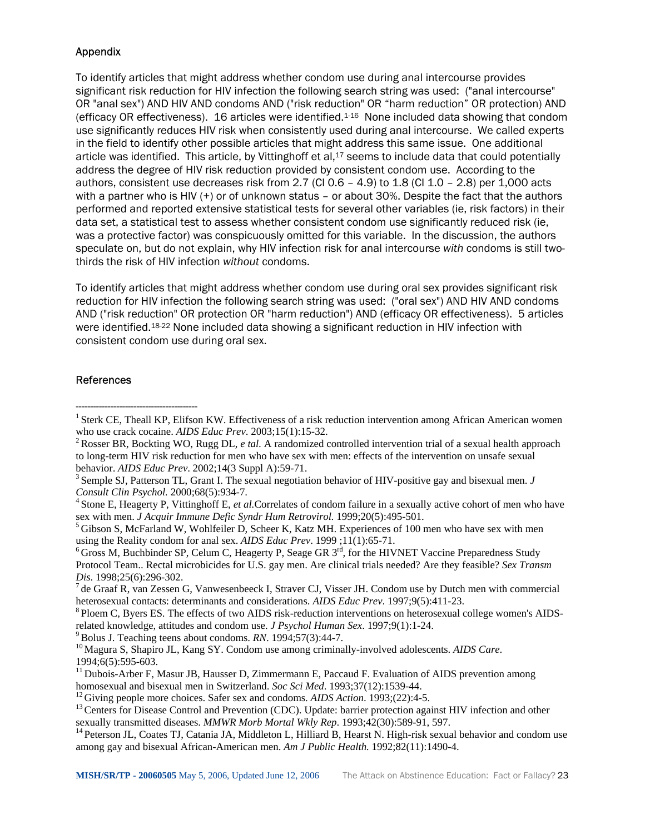## Appendix

To identify articles that might address whether condom use during anal intercourse provides significant risk reduction for HIV infection the following search string was used: ("anal intercourse" OR "anal sex") AND HIV AND condoms AND ("risk reduction" OR "harm reduction" OR protection) AND (efficacy OR effectiveness). 16 articles were identified.1-16 None included data showing that condom use significantly reduces HIV risk when consistently used during anal intercourse. We called experts in the field to identify other possible articles that might address this same issue. One additional article was identified. This article, by Vittinghoff et al,<sup>17</sup> seems to include data that could potentially address the degree of HIV risk reduction provided by consistent condom use. According to the authors, consistent use decreases risk from 2.7 (CI 0.6 - 4.9) to 1.8 (CI 1.0 - 2.8) per 1,000 acts with a partner who is HIV (+) or of unknown status – or about 30%. Despite the fact that the authors performed and reported extensive statistical tests for several other variables (ie, risk factors) in their data set, a statistical test to assess whether consistent condom use significantly reduced risk (ie, was a protective factor) was conspicuously omitted for this variable. In the discussion, the authors speculate on, but do not explain, why HIV infection risk for anal intercourse *with* condoms is still twothirds the risk of HIV infection *without* condoms.

To identify articles that might address whether condom use during oral sex provides significant risk reduction for HIV infection the following search string was used: ("oral sex") AND HIV AND condoms AND ("risk reduction" OR protection OR "harm reduction") AND (efficacy OR effectiveness). 5 articles were identified.18-22 None included data showing a significant reduction in HIV infection with consistent condom use during oral sex.

#### References

------------------------------------------

*Consult Clin Psychol.* 2000;68(5):934-7.<br><sup>4</sup> Stone E, Heagerty P, Vittinghoff E, *et al.*Correlates of condom failure in a sexually active cohort of men who have

sex with men. *J Acquir Immune Defic Syndr Hum Retrovirol.* 1999;20(5):495-501.<br><sup>5</sup> Gibson S, McFarland W, Wohlfeiler D, Scheer K, Katz MH. Experiences of 100 men who have sex with men using the Reality condom for anal sex

<sup>6</sup> Gross M, Buchbinder SP, Celum C, Heagerty P, Seage GR 3<sup>rd</sup>, for the HIVNET Vaccine Preparedness Study Protocol Team.. Rectal microbicides for U.S. gay men. Are clinical trials needed? Are they feasible? *Sex Transm* 

*Dis.* 1998;25(6):296-302.<br><sup>7</sup> de Graaf R, van Zessen G, Vanwesenbeeck I, Straver CJ, Visser JH. Condom use by Dutch men with commercial heterosexual contacts: determinants and considerations. *AIDS Educ Prev.* 1997;9(5):4

<sup>8</sup> Ploem C, Byers ES. The effects of two AIDS risk-reduction interventions on heterosexual college women's AIDSrelated knowledge, attitudes and condom use. *J Psychol Human Sex*. 1997;9(1):1-24.<br><sup>9</sup> Bolus J. Teaching teens about condoms. *RN*. 1994;57(3):44-7.<br><sup>10</sup> Magura S, Shapiro JL, Kang SY. Condom use among criminally-involved

1994;6(5):595-603.

 $<sup>11</sup>$  Dubois-Arber F, Masur JB, Hausser D, Zimmermann E, Paccaud F. Evaluation of AIDS prevention among</sup>

homosexual and bisexual men in Switzerland. Soc Sci Med. 1993;37(12):1539-44.<br><sup>12</sup> Giving people more choices. Safer sex and condoms. AIDS Action. 1993;(22):4-5.<br><sup>13</sup> Centers for Disease Control and Prevention (CDC). Updat

<sup>14</sup> Peterson JL, Coates TJ, Catania JA, Middleton L, Hilliard B, Hearst N. High-risk sexual behavior and condom use among gay and bisexual African-American men. *Am J Public Health.* 1992;82(11):1490-4.

<sup>&</sup>lt;sup>1</sup> Sterk CE, Theall KP, Elifson KW. Effectiveness of a risk reduction intervention among African American women who use crack cocaine. *AIDS Educ Prev.* 2003;15(1):15-32.<br><sup>2</sup> Rosser BR, Bockting WO, Rugg DL, *e tal.* A randomized controlled intervention trial of a sexual health approach

to long-term HIV risk reduction for men who have sex with men: effects of the intervention on unsafe sexual behavior. *AIDS Educ Prev.* 2002;14(3 Suppl A):59-71.<br><sup>3</sup> Semple SJ, Patterson TL, Grant I. The sexual negotiation behavior of HIV-positive gay and bisexual men. *J*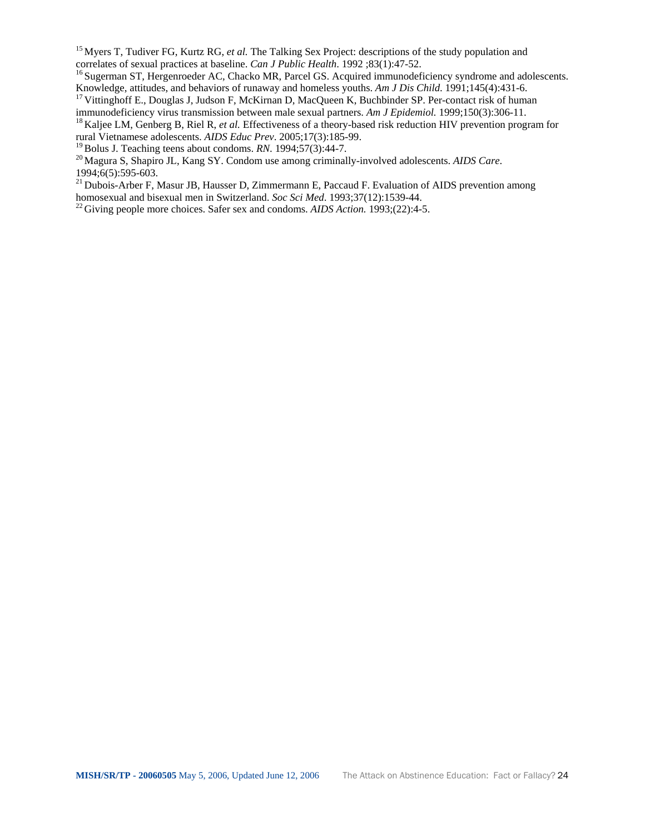<sup>15</sup> Myers T, Tudiver FG, Kurtz RG, *et al.* The Talking Sex Project: descriptions of the study population and correlates of sexual practices at baseline. *Can J Public Health.* 1992 ;83(1):47-52.

<sup>16</sup> Sugerman ST, Hergenroeder AC, Chacko MR, Parcel GS. Acquired immunodeficiency syndrome and adolescents.

Knowledge, attitudes, and behaviors of runaway and homeless youths. *Am J Dis Child*. 1991;145(4):431-6. <sup>17</sup> Vittinghoff E., Douglas J, Judson F, McKirnan D, MacQueen K, Buchbinder SP. Per-contact risk of human immunodefi

<sup>18</sup> Kaljee LM, Genberg B, Riel R, et al. Effectiveness of a theory-based risk reduction HIV prevention program for rural Vietnamese adolescents. *AIDS Educ Prev*. 2005;17(3):185-99.

<sup>20</sup> Magura S, Shapiro JL, Kang SY. Condom use among criminally-involved adolescents. *AIDS Care*. 1994;6(5):595-603.

<sup>21</sup> Dubois-Arber F, Masur JB, Hausser D, Zimmermann E, Paccaud F. Evaluation of AIDS prevention among homosexual and bisexual men in Switzerland. *Soc Sci Med*. 1993;37(12):1539-44.

 $\frac{22}{2}$  Giving people more choices. Safer sex and condoms. *AIDS Action.* 1993;(22):4-5.